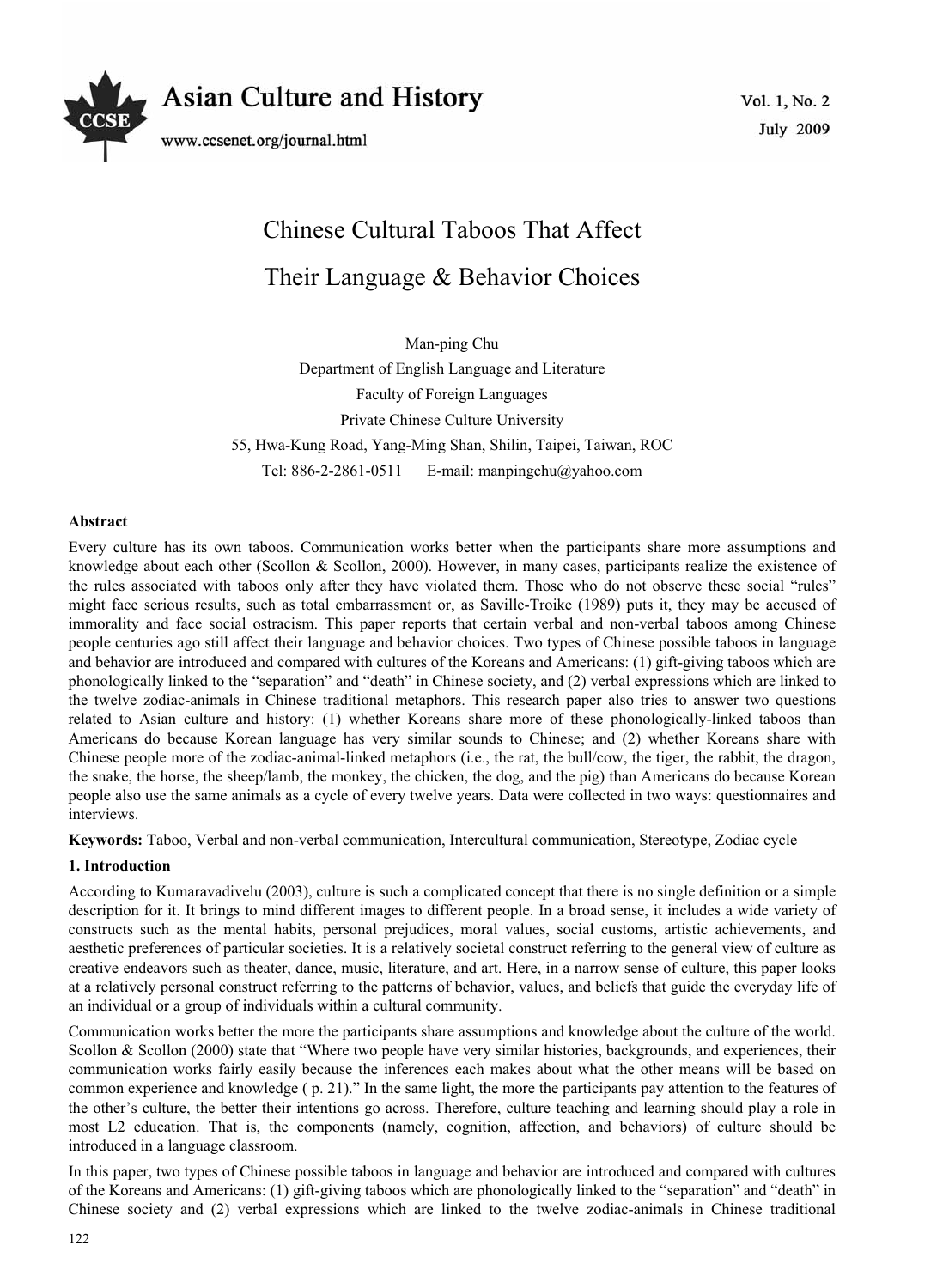

Vol. 1, No. 2 **July 2009** 

# Chinese Cultural Taboos That Affect Their Language & Behavior Choices

Man-ping Chu Department of English Language and Literature Faculty of Foreign Languages Private Chinese Culture University 55, Hwa-Kung Road, Yang-Ming Shan, Shilin, Taipei, Taiwan, ROC Tel:  $886-2-2861-0511$  E-mail: manpingchu@yahoo.com

#### **Abstract**

Every culture has its own taboos. Communication works better when the participants share more assumptions and knowledge about each other (Scollon & Scollon, 2000). However, in many cases, participants realize the existence of the rules associated with taboos only after they have violated them. Those who do not observe these social "rules" might face serious results, such as total embarrassment or, as Saville-Troike (1989) puts it, they may be accused of immorality and face social ostracism. This paper reports that certain verbal and non-verbal taboos among Chinese people centuries ago still affect their language and behavior choices. Two types of Chinese possible taboos in language and behavior are introduced and compared with cultures of the Koreans and Americans: (1) gift-giving taboos which are phonologically linked to the "separation" and "death" in Chinese society, and (2) verbal expressions which are linked to the twelve zodiac-animals in Chinese traditional metaphors. This research paper also tries to answer two questions related to Asian culture and history: (1) whether Koreans share more of these phonologically-linked taboos than Americans do because Korean language has very similar sounds to Chinese; and (2) whether Koreans share with Chinese people more of the zodiac-animal-linked metaphors (i.e., the rat, the bull/cow, the tiger, the rabbit, the dragon, the snake, the horse, the sheep/lamb, the monkey, the chicken, the dog, and the pig) than Americans do because Korean people also use the same animals as a cycle of every twelve years. Data were collected in two ways: questionnaires and interviews.

**Keywords:** Taboo, Verbal and non-verbal communication, Intercultural communication, Stereotype, Zodiac cycle

#### **1. Introduction**

According to Kumaravadivelu (2003), culture is such a complicated concept that there is no single definition or a simple description for it. It brings to mind different images to different people. In a broad sense, it includes a wide variety of constructs such as the mental habits, personal prejudices, moral values, social customs, artistic achievements, and aesthetic preferences of particular societies. It is a relatively societal construct referring to the general view of culture as creative endeavors such as theater, dance, music, literature, and art. Here, in a narrow sense of culture, this paper looks at a relatively personal construct referring to the patterns of behavior, values, and beliefs that guide the everyday life of an individual or a group of individuals within a cultural community.

Communication works better the more the participants share assumptions and knowledge about the culture of the world. Scollon & Scollon (2000) state that "Where two people have very similar histories, backgrounds, and experiences, their communication works fairly easily because the inferences each makes about what the other means will be based on common experience and knowledge ( p. 21)." In the same light, the more the participants pay attention to the features of the other's culture, the better their intentions go across. Therefore, culture teaching and learning should play a role in most L2 education. That is, the components (namely, cognition, affection, and behaviors) of culture should be introduced in a language classroom.

In this paper, two types of Chinese possible taboos in language and behavior are introduced and compared with cultures of the Koreans and Americans: (1) gift-giving taboos which are phonologically linked to the "separation" and "death" in Chinese society and (2) verbal expressions which are linked to the twelve zodiac-animals in Chinese traditional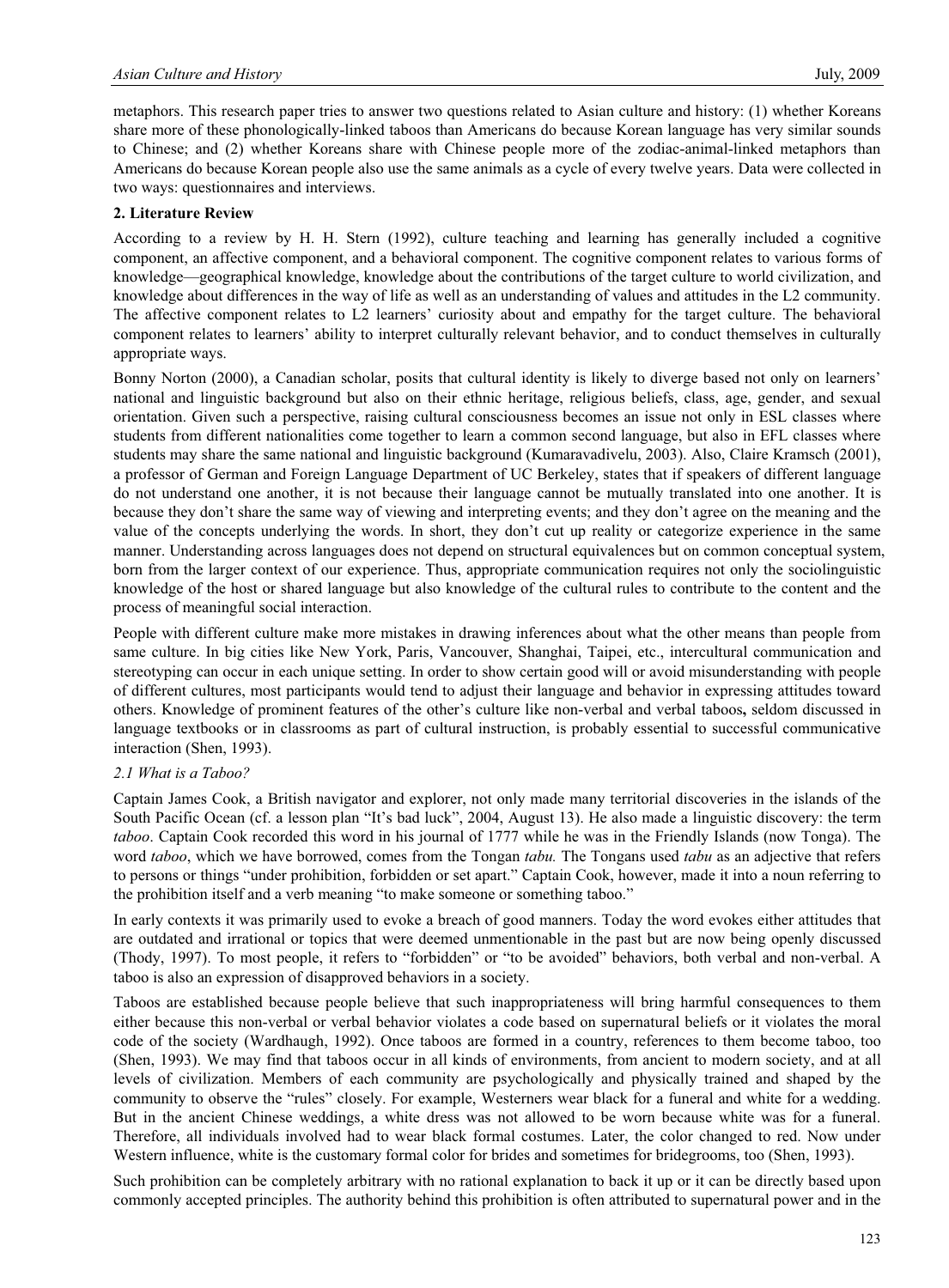metaphors. This research paper tries to answer two questions related to Asian culture and history: (1) whether Koreans share more of these phonologically-linked taboos than Americans do because Korean language has very similar sounds to Chinese; and (2) whether Koreans share with Chinese people more of the zodiac-animal-linked metaphors than Americans do because Korean people also use the same animals as a cycle of every twelve years. Data were collected in two ways: questionnaires and interviews.

#### **2. Literature Review**

According to a review by H. H. Stern (1992), culture teaching and learning has generally included a cognitive component, an affective component, and a behavioral component. The cognitive component relates to various forms of knowledge—geographical knowledge, knowledge about the contributions of the target culture to world civilization, and knowledge about differences in the way of life as well as an understanding of values and attitudes in the L2 community. The affective component relates to L2 learners' curiosity about and empathy for the target culture. The behavioral component relates to learners' ability to interpret culturally relevant behavior, and to conduct themselves in culturally appropriate ways.

Bonny Norton (2000), a Canadian scholar, posits that cultural identity is likely to diverge based not only on learners' national and linguistic background but also on their ethnic heritage, religious beliefs, class, age, gender, and sexual orientation. Given such a perspective, raising cultural consciousness becomes an issue not only in ESL classes where students from different nationalities come together to learn a common second language, but also in EFL classes where students may share the same national and linguistic background (Kumaravadivelu, 2003). Also, Claire Kramsch (2001), a professor of German and Foreign Language Department of UC Berkeley, states that if speakers of different language do not understand one another, it is not because their language cannot be mutually translated into one another. It is because they don't share the same way of viewing and interpreting events; and they don't agree on the meaning and the value of the concepts underlying the words. In short, they don't cut up reality or categorize experience in the same manner. Understanding across languages does not depend on structural equivalences but on common conceptual system, born from the larger context of our experience. Thus, appropriate communication requires not only the sociolinguistic knowledge of the host or shared language but also knowledge of the cultural rules to contribute to the content and the process of meaningful social interaction.

People with different culture make more mistakes in drawing inferences about what the other means than people from same culture. In big cities like New York, Paris, Vancouver, Shanghai, Taipei, etc., intercultural communication and stereotyping can occur in each unique setting. In order to show certain good will or avoid misunderstanding with people of different cultures, most participants would tend to adjust their language and behavior in expressing attitudes toward others. Knowledge of prominent features of the other's culture like non-verbal and verbal taboos**,** seldom discussed in language textbooks or in classrooms as part of cultural instruction, is probably essential to successful communicative interaction (Shen, 1993).

#### *2.1 What is a Taboo?*

Captain James Cook, a British navigator and explorer, not only made many territorial discoveries in the islands of the South Pacific Ocean (cf. a lesson plan "It's bad luck", 2004, August 13). He also made a linguistic discovery: the term *taboo*. Captain Cook recorded this word in his journal of 1777 while he was in the Friendly Islands (now Tonga). The word *taboo*, which we have borrowed, comes from the Tongan *tabu.* The Tongans used *tabu* as an adjective that refers to persons or things "under prohibition, forbidden or set apart." Captain Cook, however, made it into a noun referring to the prohibition itself and a verb meaning "to make someone or something taboo."

In early contexts it was primarily used to evoke a breach of good manners. Today the word evokes either attitudes that are outdated and irrational or topics that were deemed unmentionable in the past but are now being openly discussed (Thody, 1997). To most people, it refers to "forbidden" or "to be avoided" behaviors, both verbal and non-verbal. A taboo is also an expression of disapproved behaviors in a society.

Taboos are established because people believe that such inappropriateness will bring harmful consequences to them either because this non-verbal or verbal behavior violates a code based on supernatural beliefs or it violates the moral code of the society (Wardhaugh, 1992). Once taboos are formed in a country, references to them become taboo, too (Shen, 1993). We may find that taboos occur in all kinds of environments, from ancient to modern society, and at all levels of civilization. Members of each community are psychologically and physically trained and shaped by the community to observe the "rules" closely. For example, Westerners wear black for a funeral and white for a wedding. But in the ancient Chinese weddings, a white dress was not allowed to be worn because white was for a funeral. Therefore, all individuals involved had to wear black formal costumes. Later, the color changed to red. Now under Western influence, white is the customary formal color for brides and sometimes for bridegrooms, too (Shen, 1993).

Such prohibition can be completely arbitrary with no rational explanation to back it up or it can be directly based upon commonly accepted principles. The authority behind this prohibition is often attributed to supernatural power and in the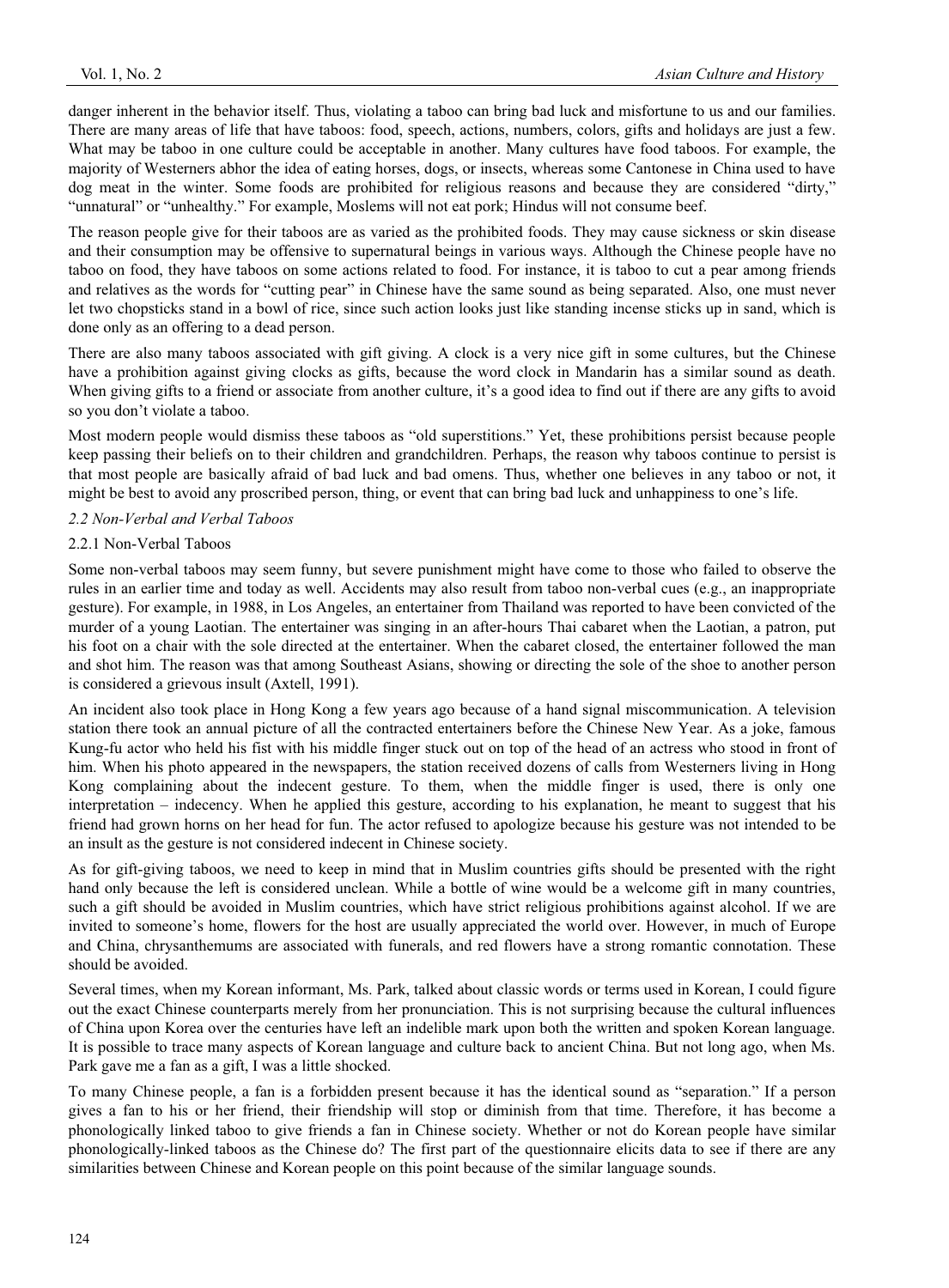danger inherent in the behavior itself. Thus, violating a taboo can bring bad luck and misfortune to us and our families. There are many areas of life that have taboos: food, speech, actions, numbers, colors, gifts and holidays are just a few. What may be taboo in one culture could be acceptable in another. Many cultures have food taboos. For example, the majority of Westerners abhor the idea of eating horses, dogs, or insects, whereas some Cantonese in China used to have dog meat in the winter. Some foods are prohibited for religious reasons and because they are considered "dirty," "unnatural" or "unhealthy." For example, Moslems will not eat pork; Hindus will not consume beef.

The reason people give for their taboos are as varied as the prohibited foods. They may cause sickness or skin disease and their consumption may be offensive to supernatural beings in various ways. Although the Chinese people have no taboo on food, they have taboos on some actions related to food. For instance, it is taboo to cut a pear among friends and relatives as the words for "cutting pear" in Chinese have the same sound as being separated. Also, one must never let two chopsticks stand in a bowl of rice, since such action looks just like standing incense sticks up in sand, which is done only as an offering to a dead person.

There are also many taboos associated with gift giving. A clock is a very nice gift in some cultures, but the Chinese have a prohibition against giving clocks as gifts, because the word clock in Mandarin has a similar sound as death. When giving gifts to a friend or associate from another culture, it's a good idea to find out if there are any gifts to avoid so you don't violate a taboo.

Most modern people would dismiss these taboos as "old superstitions." Yet, these prohibitions persist because people keep passing their beliefs on to their children and grandchildren. Perhaps, the reason why taboos continue to persist is that most people are basically afraid of bad luck and bad omens. Thus, whether one believes in any taboo or not, it might be best to avoid any proscribed person, thing, or event that can bring bad luck and unhappiness to one's life.

#### *2.2 Non-Verbal and Verbal Taboos*

#### 2.2.1 Non-Verbal Taboos

Some non-verbal taboos may seem funny, but severe punishment might have come to those who failed to observe the rules in an earlier time and today as well. Accidents may also result from taboo non-verbal cues (e.g., an inappropriate gesture). For example, in 1988, in Los Angeles, an entertainer from Thailand was reported to have been convicted of the murder of a young Laotian. The entertainer was singing in an after-hours Thai cabaret when the Laotian, a patron, put his foot on a chair with the sole directed at the entertainer. When the cabaret closed, the entertainer followed the man and shot him. The reason was that among Southeast Asians, showing or directing the sole of the shoe to another person is considered a grievous insult (Axtell, 1991).

An incident also took place in Hong Kong a few years ago because of a hand signal miscommunication. A television station there took an annual picture of all the contracted entertainers before the Chinese New Year. As a joke, famous Kung-fu actor who held his fist with his middle finger stuck out on top of the head of an actress who stood in front of him. When his photo appeared in the newspapers, the station received dozens of calls from Westerners living in Hong Kong complaining about the indecent gesture. To them, when the middle finger is used, there is only one interpretation – indecency. When he applied this gesture, according to his explanation, he meant to suggest that his friend had grown horns on her head for fun. The actor refused to apologize because his gesture was not intended to be an insult as the gesture is not considered indecent in Chinese society.

As for gift-giving taboos, we need to keep in mind that in Muslim countries gifts should be presented with the right hand only because the left is considered unclean. While a bottle of wine would be a welcome gift in many countries, such a gift should be avoided in Muslim countries, which have strict religious prohibitions against alcohol. If we are invited to someone's home, flowers for the host are usually appreciated the world over. However, in much of Europe and China, chrysanthemums are associated with funerals, and red flowers have a strong romantic connotation. These should be avoided.

Several times, when my Korean informant, Ms. Park, talked about classic words or terms used in Korean, I could figure out the exact Chinese counterparts merely from her pronunciation. This is not surprising because the cultural influences of China upon Korea over the centuries have left an indelible mark upon both the written and spoken Korean language. It is possible to trace many aspects of Korean language and culture back to ancient China. But not long ago, when Ms. Park gave me a fan as a gift, I was a little shocked.

To many Chinese people, a fan is a forbidden present because it has the identical sound as "separation." If a person gives a fan to his or her friend, their friendship will stop or diminish from that time. Therefore, it has become a phonologically linked taboo to give friends a fan in Chinese society. Whether or not do Korean people have similar phonologically-linked taboos as the Chinese do? The first part of the questionnaire elicits data to see if there are any similarities between Chinese and Korean people on this point because of the similar language sounds.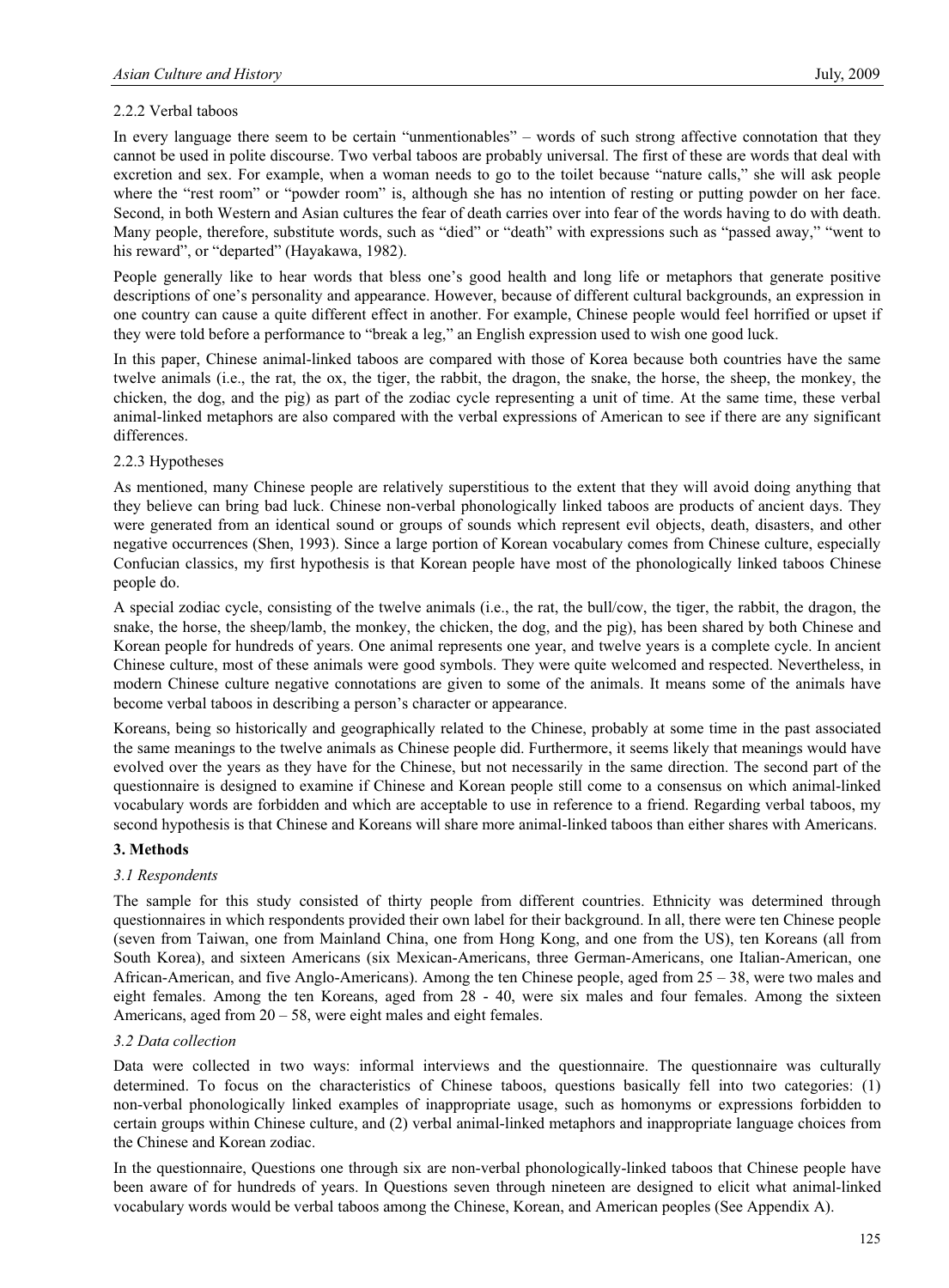# 2.2.2 Verbal taboos

In every language there seem to be certain "unmentionables" – words of such strong affective connotation that they cannot be used in polite discourse. Two verbal taboos are probably universal. The first of these are words that deal with excretion and sex. For example, when a woman needs to go to the toilet because "nature calls," she will ask people where the "rest room" or "powder room" is, although she has no intention of resting or putting powder on her face. Second, in both Western and Asian cultures the fear of death carries over into fear of the words having to do with death. Many people, therefore, substitute words, such as "died" or "death" with expressions such as "passed away," "went to his reward", or "departed" (Hayakawa, 1982).

People generally like to hear words that bless one's good health and long life or metaphors that generate positive descriptions of one's personality and appearance. However, because of different cultural backgrounds, an expression in one country can cause a quite different effect in another. For example, Chinese people would feel horrified or upset if they were told before a performance to "break a leg," an English expression used to wish one good luck.

In this paper, Chinese animal-linked taboos are compared with those of Korea because both countries have the same twelve animals (i.e., the rat, the ox, the tiger, the rabbit, the dragon, the snake, the horse, the sheep, the monkey, the chicken, the dog, and the pig) as part of the zodiac cycle representing a unit of time. At the same time, these verbal animal-linked metaphors are also compared with the verbal expressions of American to see if there are any significant differences.

## 2.2.3 Hypotheses

As mentioned, many Chinese people are relatively superstitious to the extent that they will avoid doing anything that they believe can bring bad luck. Chinese non-verbal phonologically linked taboos are products of ancient days. They were generated from an identical sound or groups of sounds which represent evil objects, death, disasters, and other negative occurrences (Shen, 1993). Since a large portion of Korean vocabulary comes from Chinese culture, especially Confucian classics, my first hypothesis is that Korean people have most of the phonologically linked taboos Chinese people do.

A special zodiac cycle, consisting of the twelve animals (i.e., the rat, the bull/cow, the tiger, the rabbit, the dragon, the snake, the horse, the sheep/lamb, the monkey, the chicken, the dog, and the pig), has been shared by both Chinese and Korean people for hundreds of years. One animal represents one year, and twelve years is a complete cycle. In ancient Chinese culture, most of these animals were good symbols. They were quite welcomed and respected. Nevertheless, in modern Chinese culture negative connotations are given to some of the animals. It means some of the animals have become verbal taboos in describing a person's character or appearance.

Koreans, being so historically and geographically related to the Chinese, probably at some time in the past associated the same meanings to the twelve animals as Chinese people did. Furthermore, it seems likely that meanings would have evolved over the years as they have for the Chinese, but not necessarily in the same direction. The second part of the questionnaire is designed to examine if Chinese and Korean people still come to a consensus on which animal-linked vocabulary words are forbidden and which are acceptable to use in reference to a friend. Regarding verbal taboos, my second hypothesis is that Chinese and Koreans will share more animal-linked taboos than either shares with Americans.

## **3. Methods**

## *3.1 Respondents*

The sample for this study consisted of thirty people from different countries. Ethnicity was determined through questionnaires in which respondents provided their own label for their background. In all, there were ten Chinese people (seven from Taiwan, one from Mainland China, one from Hong Kong, and one from the US), ten Koreans (all from South Korea), and sixteen Americans (six Mexican-Americans, three German-Americans, one Italian-American, one African-American, and five Anglo-Americans). Among the ten Chinese people, aged from 25 – 38, were two males and eight females. Among the ten Koreans, aged from 28 - 40, were six males and four females. Among the sixteen Americans, aged from  $20 - 58$ , were eight males and eight females.

## *3.2 Data collection*

Data were collected in two ways: informal interviews and the questionnaire. The questionnaire was culturally determined. To focus on the characteristics of Chinese taboos, questions basically fell into two categories: (1) non-verbal phonologically linked examples of inappropriate usage, such as homonyms or expressions forbidden to certain groups within Chinese culture, and (2) verbal animal-linked metaphors and inappropriate language choices from the Chinese and Korean zodiac.

In the questionnaire, Questions one through six are non-verbal phonologically-linked taboos that Chinese people have been aware of for hundreds of years. In Questions seven through nineteen are designed to elicit what animal-linked vocabulary words would be verbal taboos among the Chinese, Korean, and American peoples (See Appendix A).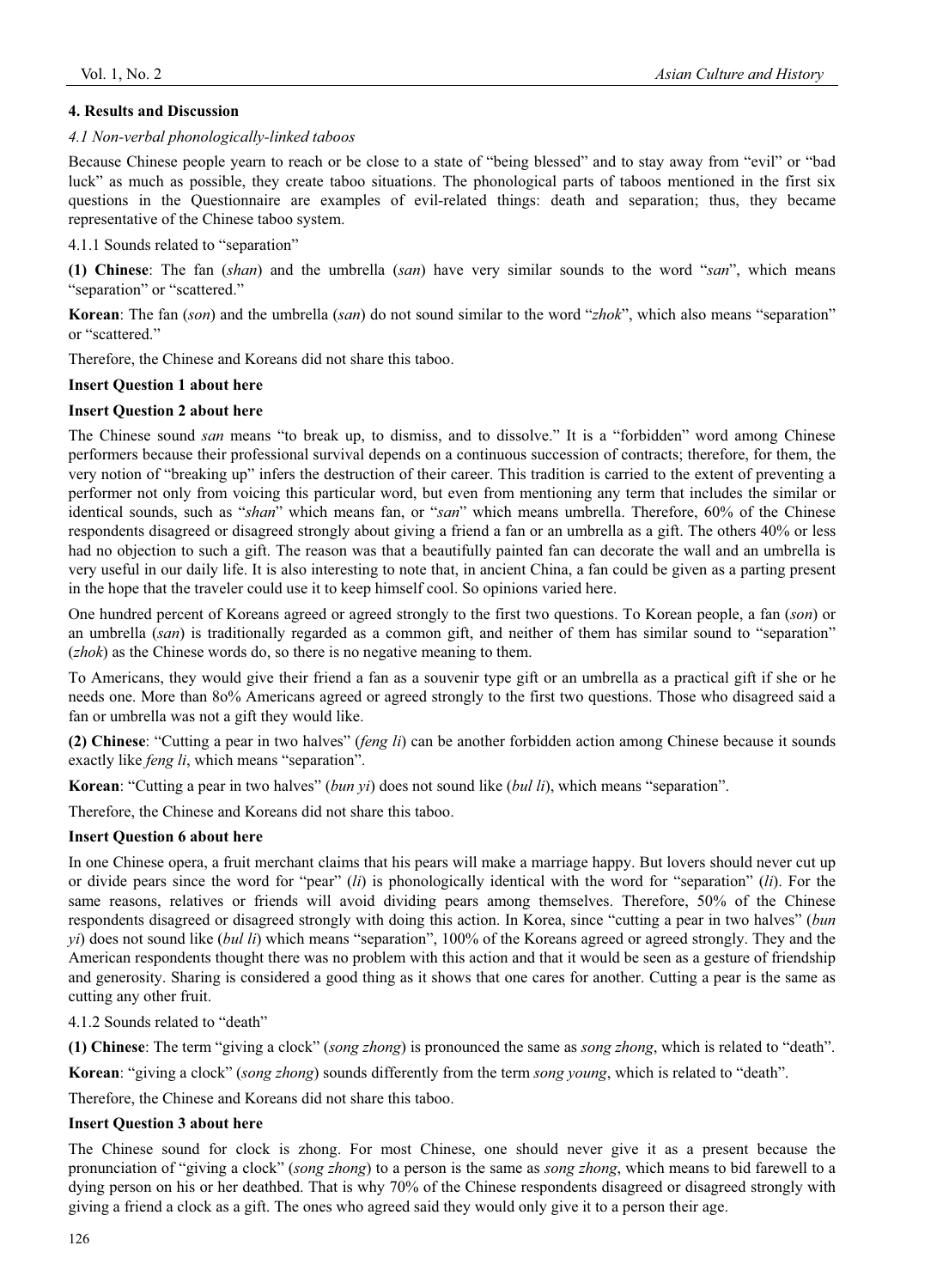## **4. Results and Discussion**

## *4.1 Non-verbal phonologically-linked taboos*

Because Chinese people yearn to reach or be close to a state of "being blessed" and to stay away from "evil" or "bad luck" as much as possible, they create taboo situations. The phonological parts of taboos mentioned in the first six questions in the Questionnaire are examples of evil-related things: death and separation; thus, they became representative of the Chinese taboo system.

4.1.1 Sounds related to "separation"

**(1) Chinese**: The fan (*shan*) and the umbrella (*san*) have very similar sounds to the word "*san*", which means "separation" or "scattered."

**Korean**: The fan (*son*) and the umbrella (*san*) do not sound similar to the word "*zhok*", which also means "separation" or "scattered."

Therefore, the Chinese and Koreans did not share this taboo.

# **Insert Question 1 about here**

# **Insert Question 2 about here**

The Chinese sound *san* means "to break up, to dismiss, and to dissolve." It is a "forbidden" word among Chinese performers because their professional survival depends on a continuous succession of contracts; therefore, for them, the very notion of "breaking up" infers the destruction of their career. This tradition is carried to the extent of preventing a performer not only from voicing this particular word, but even from mentioning any term that includes the similar or identical sounds, such as "*shan*" which means fan, or "*san*" which means umbrella. Therefore, 60% of the Chinese respondents disagreed or disagreed strongly about giving a friend a fan or an umbrella as a gift. The others 40% or less had no objection to such a gift. The reason was that a beautifully painted fan can decorate the wall and an umbrella is very useful in our daily life. It is also interesting to note that, in ancient China, a fan could be given as a parting present in the hope that the traveler could use it to keep himself cool. So opinions varied here.

One hundred percent of Koreans agreed or agreed strongly to the first two questions. To Korean people, a fan (*son*) or an umbrella (*san*) is traditionally regarded as a common gift, and neither of them has similar sound to "separation" (*zhok*) as the Chinese words do, so there is no negative meaning to them.

To Americans, they would give their friend a fan as a souvenir type gift or an umbrella as a practical gift if she or he needs one. More than 8o% Americans agreed or agreed strongly to the first two questions. Those who disagreed said a fan or umbrella was not a gift they would like.

**(2) Chinese**: "Cutting a pear in two halves" (*feng li*) can be another forbidden action among Chinese because it sounds exactly like *feng li*, which means "separation".

**Korean**: "Cutting a pear in two halves" (*bun yi*) does not sound like (*bul li*), which means "separation".

Therefore, the Chinese and Koreans did not share this taboo.

# **Insert Question 6 about here**

In one Chinese opera, a fruit merchant claims that his pears will make a marriage happy. But lovers should never cut up or divide pears since the word for "pear" (*li*) is phonologically identical with the word for "separation" (*li*). For the same reasons, relatives or friends will avoid dividing pears among themselves. Therefore, 50% of the Chinese respondents disagreed or disagreed strongly with doing this action. In Korea, since "cutting a pear in two halves" (*bun yi*) does not sound like (*bul li*) which means "separation", 100% of the Koreans agreed or agreed strongly. They and the American respondents thought there was no problem with this action and that it would be seen as a gesture of friendship and generosity. Sharing is considered a good thing as it shows that one cares for another. Cutting a pear is the same as cutting any other fruit.

4.1.2 Sounds related to "death"

**(1) Chinese**: The term "giving a clock" (*song zhong*) is pronounced the same as *song zhong*, which is related to "death".

**Korean**: "giving a clock" (*song zhong*) sounds differently from the term *song young*, which is related to "death".

Therefore, the Chinese and Koreans did not share this taboo.

## **Insert Question 3 about here**

The Chinese sound for clock is zhong. For most Chinese, one should never give it as a present because the pronunciation of "giving a clock" (*song zhong*) to a person is the same as *song zhong*, which means to bid farewell to a dying person on his or her deathbed. That is why 70% of the Chinese respondents disagreed or disagreed strongly with giving a friend a clock as a gift. The ones who agreed said they would only give it to a person their age.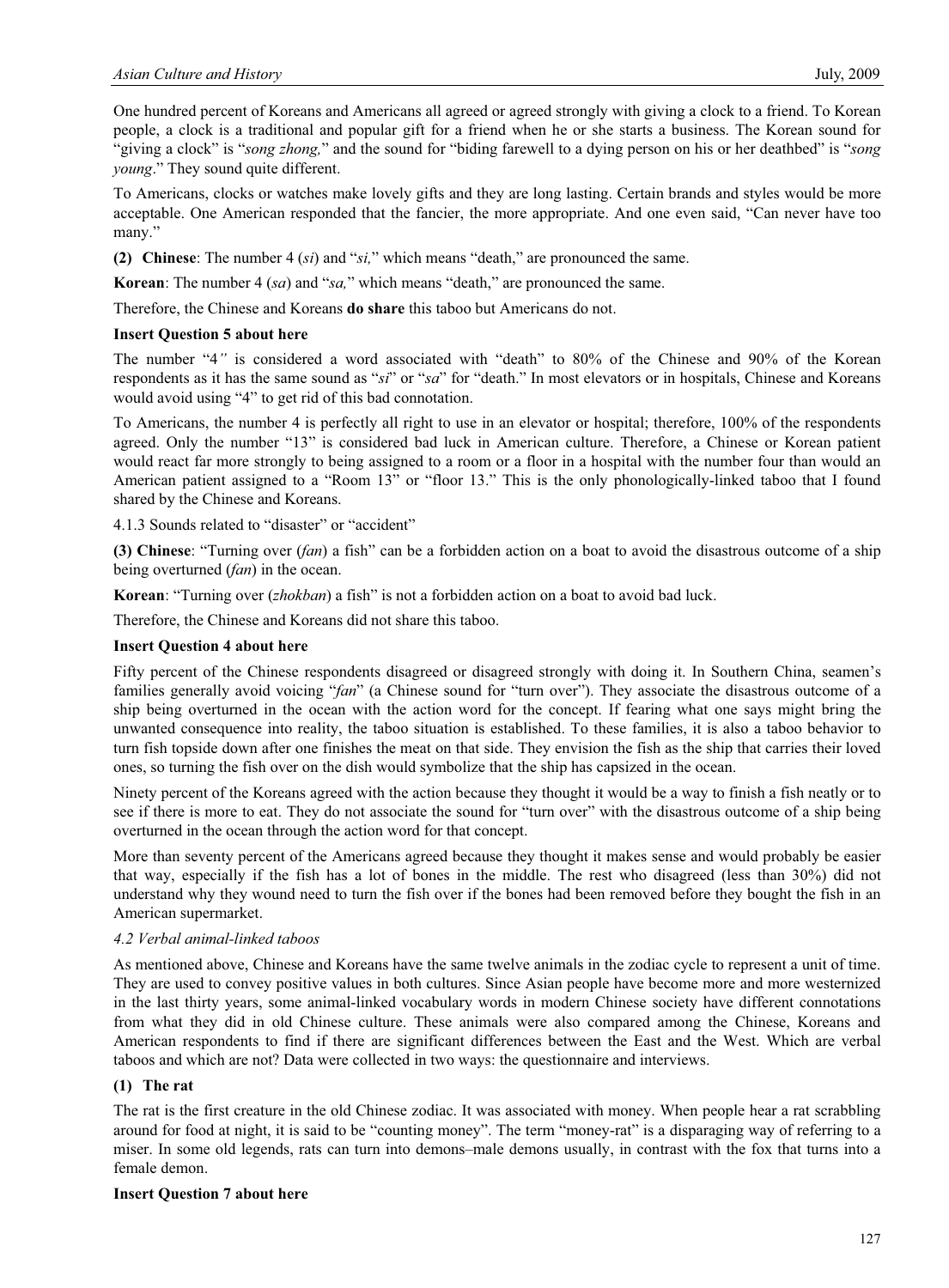One hundred percent of Koreans and Americans all agreed or agreed strongly with giving a clock to a friend. To Korean people, a clock is a traditional and popular gift for a friend when he or she starts a business. The Korean sound for "giving a clock" is "*song zhong,*" and the sound for "biding farewell to a dying person on his or her deathbed" is "*song young*." They sound quite different.

To Americans, clocks or watches make lovely gifts and they are long lasting. Certain brands and styles would be more acceptable. One American responded that the fancier, the more appropriate. And one even said, "Can never have too many."

**(2) Chinese**: The number 4 (*si*) and "*si,*" which means "death," are pronounced the same.

**Korean**: The number 4 (*sa*) and "*sa,*" which means "death," are pronounced the same.

Therefore, the Chinese and Koreans **do share** this taboo but Americans do not.

#### **Insert Question 5 about here**

The number "4*"* is considered a word associated with "death" to 80% of the Chinese and 90% of the Korean respondents as it has the same sound as "*si*" or "*sa*" for "death." In most elevators or in hospitals, Chinese and Koreans would avoid using "4" to get rid of this bad connotation.

To Americans, the number 4 is perfectly all right to use in an elevator or hospital; therefore, 100% of the respondents agreed. Only the number "13" is considered bad luck in American culture. Therefore, a Chinese or Korean patient would react far more strongly to being assigned to a room or a floor in a hospital with the number four than would an American patient assigned to a "Room 13" or "floor 13." This is the only phonologically-linked taboo that I found shared by the Chinese and Koreans.

4.1.3 Sounds related to "disaster" or "accident"

**(3) Chinese**: "Turning over (*fan*) a fish" can be a forbidden action on a boat to avoid the disastrous outcome of a ship being overturned (*fan*) in the ocean.

**Korean**: "Turning over (*zhokban*) a fish" is not a forbidden action on a boat to avoid bad luck.

Therefore, the Chinese and Koreans did not share this taboo.

#### **Insert Question 4 about here**

Fifty percent of the Chinese respondents disagreed or disagreed strongly with doing it. In Southern China, seamen's families generally avoid voicing "*fan*" (a Chinese sound for "turn over"). They associate the disastrous outcome of a ship being overturned in the ocean with the action word for the concept. If fearing what one says might bring the unwanted consequence into reality, the taboo situation is established. To these families, it is also a taboo behavior to turn fish topside down after one finishes the meat on that side. They envision the fish as the ship that carries their loved ones, so turning the fish over on the dish would symbolize that the ship has capsized in the ocean.

Ninety percent of the Koreans agreed with the action because they thought it would be a way to finish a fish neatly or to see if there is more to eat. They do not associate the sound for "turn over" with the disastrous outcome of a ship being overturned in the ocean through the action word for that concept.

More than seventy percent of the Americans agreed because they thought it makes sense and would probably be easier that way, especially if the fish has a lot of bones in the middle. The rest who disagreed (less than 30%) did not understand why they wound need to turn the fish over if the bones had been removed before they bought the fish in an American supermarket.

#### *4.2 Verbal animal-linked taboos*

As mentioned above, Chinese and Koreans have the same twelve animals in the zodiac cycle to represent a unit of time. They are used to convey positive values in both cultures. Since Asian people have become more and more westernized in the last thirty years, some animal-linked vocabulary words in modern Chinese society have different connotations from what they did in old Chinese culture. These animals were also compared among the Chinese, Koreans and American respondents to find if there are significant differences between the East and the West. Which are verbal taboos and which are not? Data were collected in two ways: the questionnaire and interviews.

#### **(1) The rat**

The rat is the first creature in the old Chinese zodiac. It was associated with money. When people hear a rat scrabbling around for food at night, it is said to be "counting money". The term "money-rat" is a disparaging way of referring to a miser. In some old legends, rats can turn into demons–male demons usually, in contrast with the fox that turns into a female demon.

#### **Insert Question 7 about here**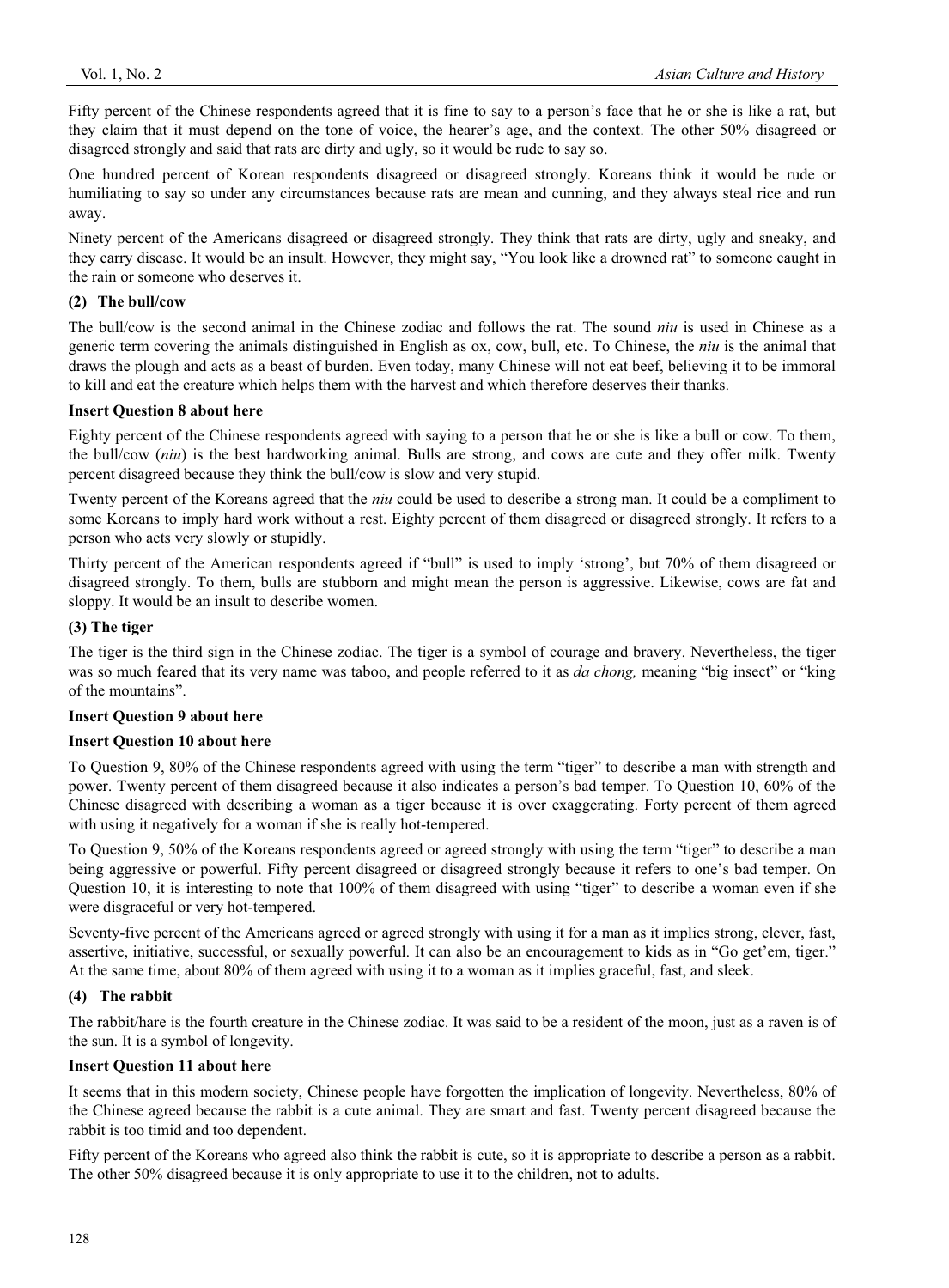Fifty percent of the Chinese respondents agreed that it is fine to say to a person's face that he or she is like a rat, but they claim that it must depend on the tone of voice, the hearer's age, and the context. The other 50% disagreed or disagreed strongly and said that rats are dirty and ugly, so it would be rude to say so.

One hundred percent of Korean respondents disagreed or disagreed strongly. Koreans think it would be rude or humiliating to say so under any circumstances because rats are mean and cunning, and they always steal rice and run away.

Ninety percent of the Americans disagreed or disagreed strongly. They think that rats are dirty, ugly and sneaky, and they carry disease. It would be an insult. However, they might say, "You look like a drowned rat" to someone caught in the rain or someone who deserves it.

#### **(2) The bull/cow**

The bull/cow is the second animal in the Chinese zodiac and follows the rat. The sound *niu* is used in Chinese as a generic term covering the animals distinguished in English as ox, cow, bull, etc. To Chinese, the *niu* is the animal that draws the plough and acts as a beast of burden. Even today, many Chinese will not eat beef, believing it to be immoral to kill and eat the creature which helps them with the harvest and which therefore deserves their thanks.

#### **Insert Question 8 about here**

Eighty percent of the Chinese respondents agreed with saying to a person that he or she is like a bull or cow. To them, the bull/cow (*niu*) is the best hardworking animal. Bulls are strong, and cows are cute and they offer milk. Twenty percent disagreed because they think the bull/cow is slow and very stupid.

Twenty percent of the Koreans agreed that the *niu* could be used to describe a strong man. It could be a compliment to some Koreans to imply hard work without a rest. Eighty percent of them disagreed or disagreed strongly. It refers to a person who acts very slowly or stupidly.

Thirty percent of the American respondents agreed if "bull" is used to imply 'strong', but 70% of them disagreed or disagreed strongly. To them, bulls are stubborn and might mean the person is aggressive. Likewise, cows are fat and sloppy. It would be an insult to describe women.

#### **(3) The tiger**

The tiger is the third sign in the Chinese zodiac. The tiger is a symbol of courage and bravery. Nevertheless, the tiger was so much feared that its very name was taboo, and people referred to it as *da chong,* meaning "big insect" or "king of the mountains".

## **Insert Question 9 about here**

## **Insert Question 10 about here**

To Question 9, 80% of the Chinese respondents agreed with using the term "tiger" to describe a man with strength and power. Twenty percent of them disagreed because it also indicates a person's bad temper. To Question 10, 60% of the Chinese disagreed with describing a woman as a tiger because it is over exaggerating. Forty percent of them agreed with using it negatively for a woman if she is really hot-tempered.

To Question 9, 50% of the Koreans respondents agreed or agreed strongly with using the term "tiger" to describe a man being aggressive or powerful. Fifty percent disagreed or disagreed strongly because it refers to one's bad temper. On Question 10, it is interesting to note that 100% of them disagreed with using "tiger" to describe a woman even if she were disgraceful or very hot-tempered.

Seventy-five percent of the Americans agreed or agreed strongly with using it for a man as it implies strong, clever, fast, assertive, initiative, successful, or sexually powerful. It can also be an encouragement to kids as in "Go get'em, tiger." At the same time, about 80% of them agreed with using it to a woman as it implies graceful, fast, and sleek.

## **(4) The rabbit**

The rabbit/hare is the fourth creature in the Chinese zodiac. It was said to be a resident of the moon, just as a raven is of the sun. It is a symbol of longevity.

## **Insert Question 11 about here**

It seems that in this modern society, Chinese people have forgotten the implication of longevity. Nevertheless, 80% of the Chinese agreed because the rabbit is a cute animal. They are smart and fast. Twenty percent disagreed because the rabbit is too timid and too dependent.

Fifty percent of the Koreans who agreed also think the rabbit is cute, so it is appropriate to describe a person as a rabbit. The other 50% disagreed because it is only appropriate to use it to the children, not to adults.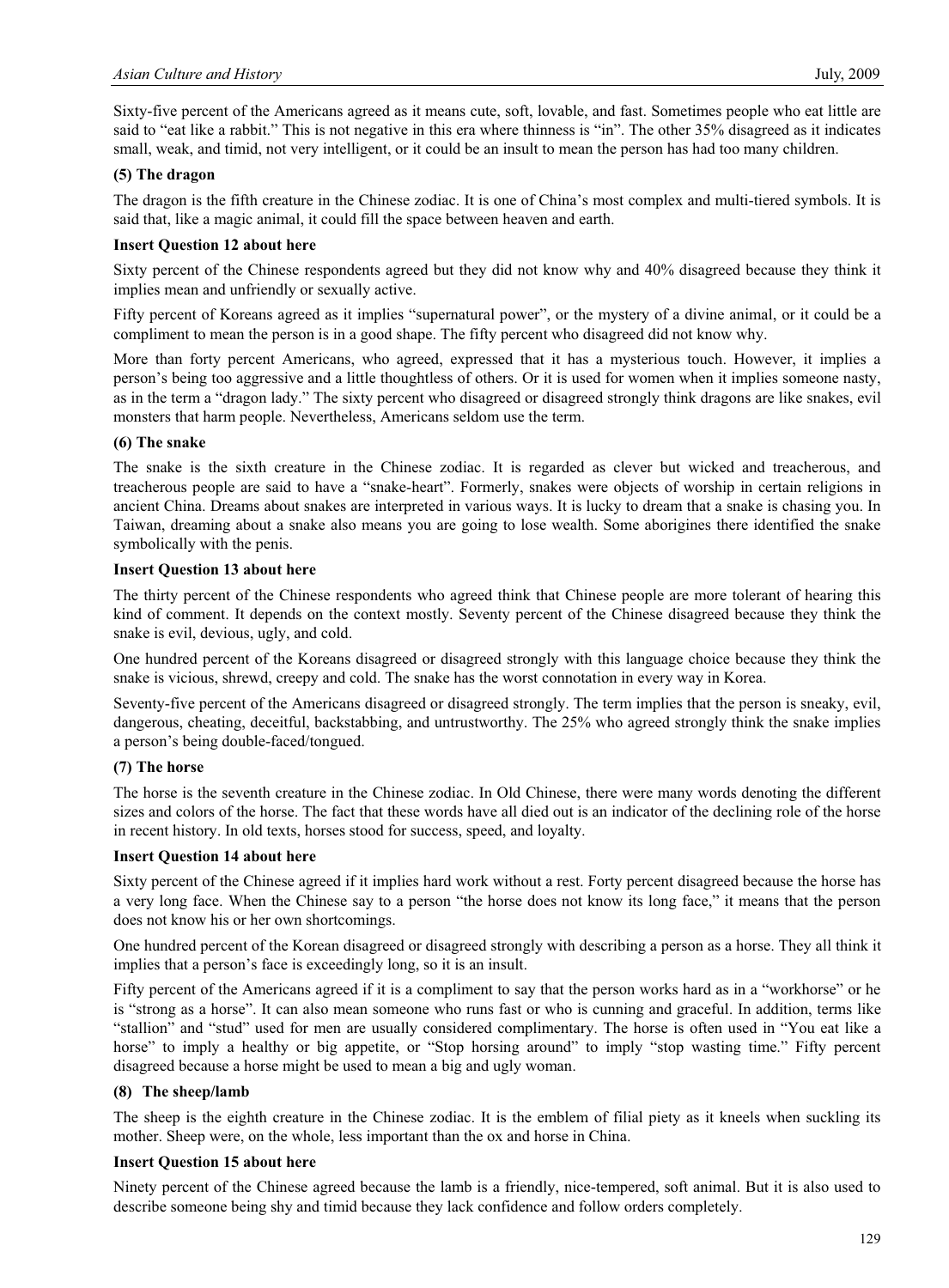Sixty-five percent of the Americans agreed as it means cute, soft, lovable, and fast. Sometimes people who eat little are said to "eat like a rabbit." This is not negative in this era where thinness is "in". The other 35% disagreed as it indicates small, weak, and timid, not very intelligent, or it could be an insult to mean the person has had too many children.

## **(5) The dragon**

The dragon is the fifth creature in the Chinese zodiac. It is one of China's most complex and multi-tiered symbols. It is said that, like a magic animal, it could fill the space between heaven and earth.

## **Insert Question 12 about here**

Sixty percent of the Chinese respondents agreed but they did not know why and 40% disagreed because they think it implies mean and unfriendly or sexually active.

Fifty percent of Koreans agreed as it implies "supernatural power", or the mystery of a divine animal, or it could be a compliment to mean the person is in a good shape. The fifty percent who disagreed did not know why.

More than forty percent Americans, who agreed, expressed that it has a mysterious touch. However, it implies a person's being too aggressive and a little thoughtless of others. Or it is used for women when it implies someone nasty, as in the term a "dragon lady." The sixty percent who disagreed or disagreed strongly think dragons are like snakes, evil monsters that harm people. Nevertheless, Americans seldom use the term.

## **(6) The snake**

The snake is the sixth creature in the Chinese zodiac. It is regarded as clever but wicked and treacherous, and treacherous people are said to have a "snake-heart". Formerly, snakes were objects of worship in certain religions in ancient China. Dreams about snakes are interpreted in various ways. It is lucky to dream that a snake is chasing you. In Taiwan, dreaming about a snake also means you are going to lose wealth. Some aborigines there identified the snake symbolically with the penis.

## **Insert Question 13 about here**

The thirty percent of the Chinese respondents who agreed think that Chinese people are more tolerant of hearing this kind of comment. It depends on the context mostly. Seventy percent of the Chinese disagreed because they think the snake is evil, devious, ugly, and cold.

One hundred percent of the Koreans disagreed or disagreed strongly with this language choice because they think the snake is vicious, shrewd, creepy and cold. The snake has the worst connotation in every way in Korea.

Seventy-five percent of the Americans disagreed or disagreed strongly. The term implies that the person is sneaky, evil, dangerous, cheating, deceitful, backstabbing, and untrustworthy. The 25% who agreed strongly think the snake implies a person's being double-faced/tongued.

## **(7) The horse**

The horse is the seventh creature in the Chinese zodiac. In Old Chinese, there were many words denoting the different sizes and colors of the horse. The fact that these words have all died out is an indicator of the declining role of the horse in recent history. In old texts, horses stood for success, speed, and loyalty.

## **Insert Question 14 about here**

Sixty percent of the Chinese agreed if it implies hard work without a rest. Forty percent disagreed because the horse has a very long face. When the Chinese say to a person "the horse does not know its long face," it means that the person does not know his or her own shortcomings.

One hundred percent of the Korean disagreed or disagreed strongly with describing a person as a horse. They all think it implies that a person's face is exceedingly long, so it is an insult.

Fifty percent of the Americans agreed if it is a compliment to say that the person works hard as in a "workhorse" or he is "strong as a horse". It can also mean someone who runs fast or who is cunning and graceful. In addition, terms like "stallion" and "stud" used for men are usually considered complimentary. The horse is often used in "You eat like a horse" to imply a healthy or big appetite, or "Stop horsing around" to imply "stop wasting time." Fifty percent disagreed because a horse might be used to mean a big and ugly woman.

## **(8) The sheep/lamb**

The sheep is the eighth creature in the Chinese zodiac. It is the emblem of filial piety as it kneels when suckling its mother. Sheep were, on the whole, less important than the ox and horse in China.

## **Insert Question 15 about here**

Ninety percent of the Chinese agreed because the lamb is a friendly, nice-tempered, soft animal. But it is also used to describe someone being shy and timid because they lack confidence and follow orders completely.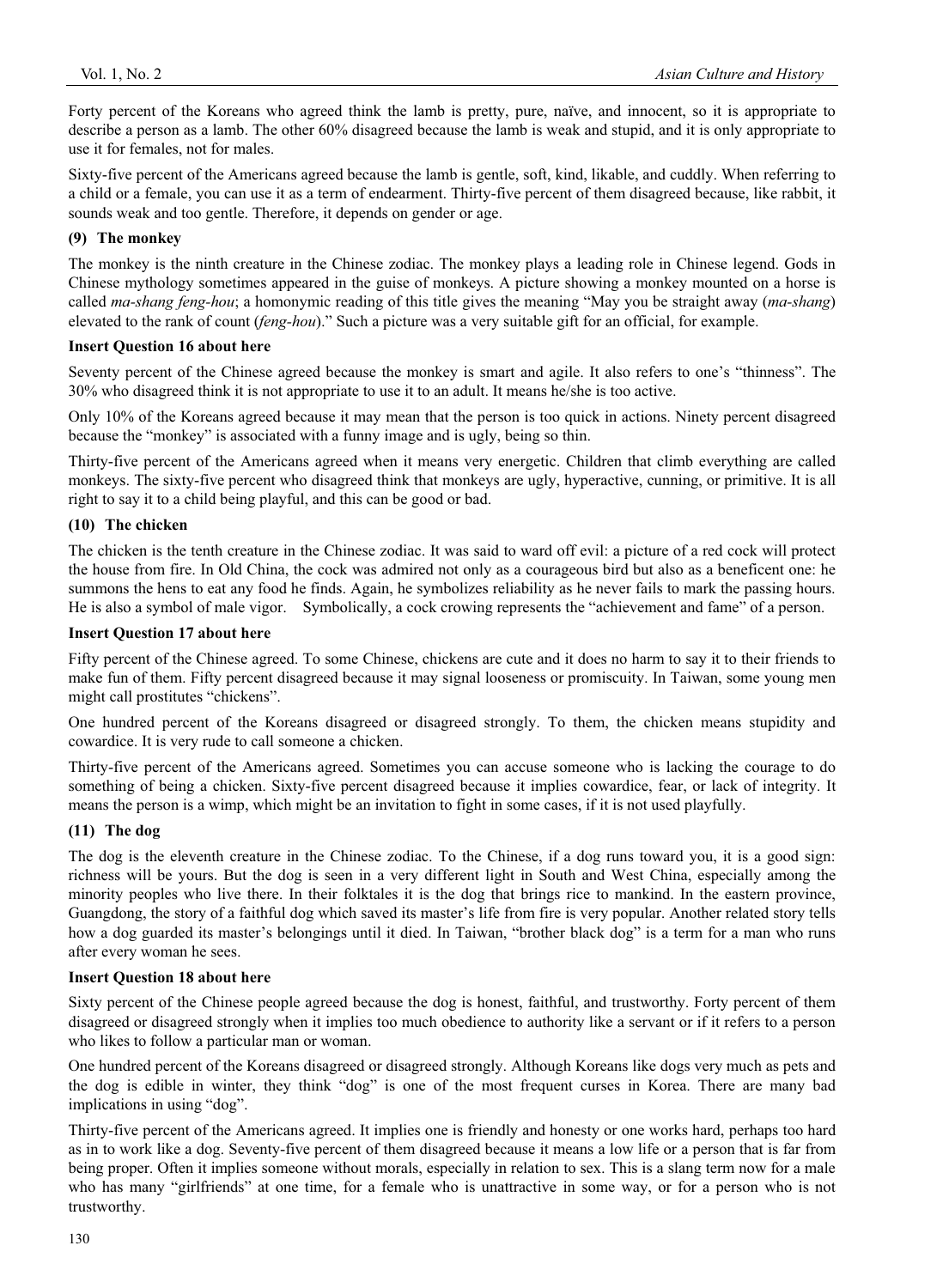Forty percent of the Koreans who agreed think the lamb is pretty, pure, naïve, and innocent, so it is appropriate to describe a person as a lamb. The other 60% disagreed because the lamb is weak and stupid, and it is only appropriate to use it for females, not for males.

Sixty-five percent of the Americans agreed because the lamb is gentle, soft, kind, likable, and cuddly. When referring to a child or a female, you can use it as a term of endearment. Thirty-five percent of them disagreed because, like rabbit, it sounds weak and too gentle. Therefore, it depends on gender or age.

#### **(9) The monkey**

The monkey is the ninth creature in the Chinese zodiac. The monkey plays a leading role in Chinese legend. Gods in Chinese mythology sometimes appeared in the guise of monkeys. A picture showing a monkey mounted on a horse is called *ma-shang feng-hou*; a homonymic reading of this title gives the meaning "May you be straight away (*ma-shang*) elevated to the rank of count (*feng-hou*)." Such a picture was a very suitable gift for an official, for example.

#### **Insert Question 16 about here**

Seventy percent of the Chinese agreed because the monkey is smart and agile. It also refers to one's "thinness". The 30% who disagreed think it is not appropriate to use it to an adult. It means he/she is too active.

Only 10% of the Koreans agreed because it may mean that the person is too quick in actions. Ninety percent disagreed because the "monkey" is associated with a funny image and is ugly, being so thin.

Thirty-five percent of the Americans agreed when it means very energetic. Children that climb everything are called monkeys. The sixty-five percent who disagreed think that monkeys are ugly, hyperactive, cunning, or primitive. It is all right to say it to a child being playful, and this can be good or bad.

#### **(10) The chicken**

The chicken is the tenth creature in the Chinese zodiac. It was said to ward off evil: a picture of a red cock will protect the house from fire. In Old China, the cock was admired not only as a courageous bird but also as a beneficent one: he summons the hens to eat any food he finds. Again, he symbolizes reliability as he never fails to mark the passing hours. He is also a symbol of male vigor. Symbolically, a cock crowing represents the "achievement and fame" of a person.

#### **Insert Question 17 about here**

Fifty percent of the Chinese agreed. To some Chinese, chickens are cute and it does no harm to say it to their friends to make fun of them. Fifty percent disagreed because it may signal looseness or promiscuity. In Taiwan, some young men might call prostitutes "chickens".

One hundred percent of the Koreans disagreed or disagreed strongly. To them, the chicken means stupidity and cowardice. It is very rude to call someone a chicken.

Thirty-five percent of the Americans agreed. Sometimes you can accuse someone who is lacking the courage to do something of being a chicken. Sixty-five percent disagreed because it implies cowardice, fear, or lack of integrity. It means the person is a wimp, which might be an invitation to fight in some cases, if it is not used playfully.

## **(11) The dog**

The dog is the eleventh creature in the Chinese zodiac. To the Chinese, if a dog runs toward you, it is a good sign: richness will be yours. But the dog is seen in a very different light in South and West China, especially among the minority peoples who live there. In their folktales it is the dog that brings rice to mankind. In the eastern province, Guangdong, the story of a faithful dog which saved its master's life from fire is very popular. Another related story tells how a dog guarded its master's belongings until it died. In Taiwan, "brother black dog" is a term for a man who runs after every woman he sees.

#### **Insert Question 18 about here**

Sixty percent of the Chinese people agreed because the dog is honest, faithful, and trustworthy. Forty percent of them disagreed or disagreed strongly when it implies too much obedience to authority like a servant or if it refers to a person who likes to follow a particular man or woman.

One hundred percent of the Koreans disagreed or disagreed strongly. Although Koreans like dogs very much as pets and the dog is edible in winter, they think "dog" is one of the most frequent curses in Korea. There are many bad implications in using "dog".

Thirty-five percent of the Americans agreed. It implies one is friendly and honesty or one works hard, perhaps too hard as in to work like a dog. Seventy-five percent of them disagreed because it means a low life or a person that is far from being proper. Often it implies someone without morals, especially in relation to sex. This is a slang term now for a male who has many "girlfriends" at one time, for a female who is unattractive in some way, or for a person who is not trustworthy.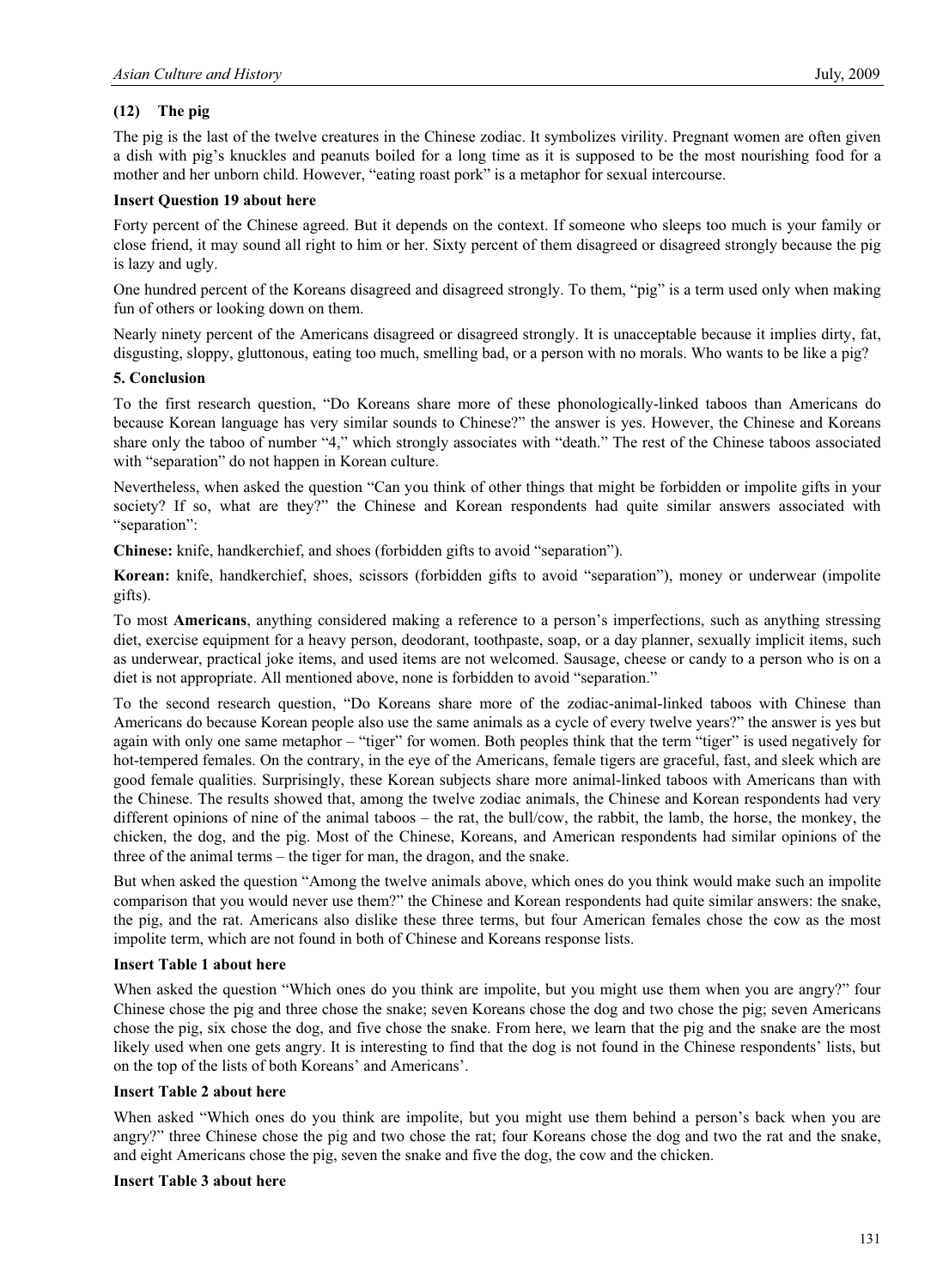# **(12) The pig**

The pig is the last of the twelve creatures in the Chinese zodiac. It symbolizes virility. Pregnant women are often given a dish with pig's knuckles and peanuts boiled for a long time as it is supposed to be the most nourishing food for a mother and her unborn child. However, "eating roast pork" is a metaphor for sexual intercourse.

## **Insert Question 19 about here**

Forty percent of the Chinese agreed. But it depends on the context. If someone who sleeps too much is your family or close friend, it may sound all right to him or her. Sixty percent of them disagreed or disagreed strongly because the pig is lazy and ugly.

One hundred percent of the Koreans disagreed and disagreed strongly. To them, "pig" is a term used only when making fun of others or looking down on them.

Nearly ninety percent of the Americans disagreed or disagreed strongly. It is unacceptable because it implies dirty, fat, disgusting, sloppy, gluttonous, eating too much, smelling bad, or a person with no morals. Who wants to be like a pig?

#### **5. Conclusion**

To the first research question, "Do Koreans share more of these phonologically-linked taboos than Americans do because Korean language has very similar sounds to Chinese?" the answer is yes. However, the Chinese and Koreans share only the taboo of number "4," which strongly associates with "death." The rest of the Chinese taboos associated with "separation" do not happen in Korean culture.

Nevertheless, when asked the question "Can you think of other things that might be forbidden or impolite gifts in your society? If so, what are they?" the Chinese and Korean respondents had quite similar answers associated with "separation":

**Chinese:** knife, handkerchief, and shoes (forbidden gifts to avoid "separation").

**Korean:** knife, handkerchief, shoes, scissors (forbidden gifts to avoid "separation"), money or underwear (impolite gifts).

To most **Americans**, anything considered making a reference to a person's imperfections, such as anything stressing diet, exercise equipment for a heavy person, deodorant, toothpaste, soap, or a day planner, sexually implicit items, such as underwear, practical joke items, and used items are not welcomed. Sausage, cheese or candy to a person who is on a diet is not appropriate. All mentioned above, none is forbidden to avoid "separation."

To the second research question, "Do Koreans share more of the zodiac-animal-linked taboos with Chinese than Americans do because Korean people also use the same animals as a cycle of every twelve years?" the answer is yes but again with only one same metaphor – "tiger" for women. Both peoples think that the term "tiger" is used negatively for hot-tempered females. On the contrary, in the eye of the Americans, female tigers are graceful, fast, and sleek which are good female qualities. Surprisingly, these Korean subjects share more animal-linked taboos with Americans than with the Chinese. The results showed that, among the twelve zodiac animals, the Chinese and Korean respondents had very different opinions of nine of the animal taboos – the rat, the bull/cow, the rabbit, the lamb, the horse, the monkey, the chicken, the dog, and the pig. Most of the Chinese, Koreans, and American respondents had similar opinions of the three of the animal terms – the tiger for man, the dragon, and the snake.

But when asked the question "Among the twelve animals above, which ones do you think would make such an impolite comparison that you would never use them?" the Chinese and Korean respondents had quite similar answers: the snake, the pig, and the rat. Americans also dislike these three terms, but four American females chose the cow as the most impolite term, which are not found in both of Chinese and Koreans response lists.

## **Insert Table 1 about here**

When asked the question "Which ones do you think are impolite, but you might use them when you are angry?" four Chinese chose the pig and three chose the snake; seven Koreans chose the dog and two chose the pig; seven Americans chose the pig, six chose the dog, and five chose the snake. From here, we learn that the pig and the snake are the most likely used when one gets angry. It is interesting to find that the dog is not found in the Chinese respondents' lists, but on the top of the lists of both Koreans' and Americans'.

#### **Insert Table 2 about here**

When asked "Which ones do you think are impolite, but you might use them behind a person's back when you are angry?" three Chinese chose the pig and two chose the rat; four Koreans chose the dog and two the rat and the snake, and eight Americans chose the pig, seven the snake and five the dog, the cow and the chicken.

#### **Insert Table 3 about here**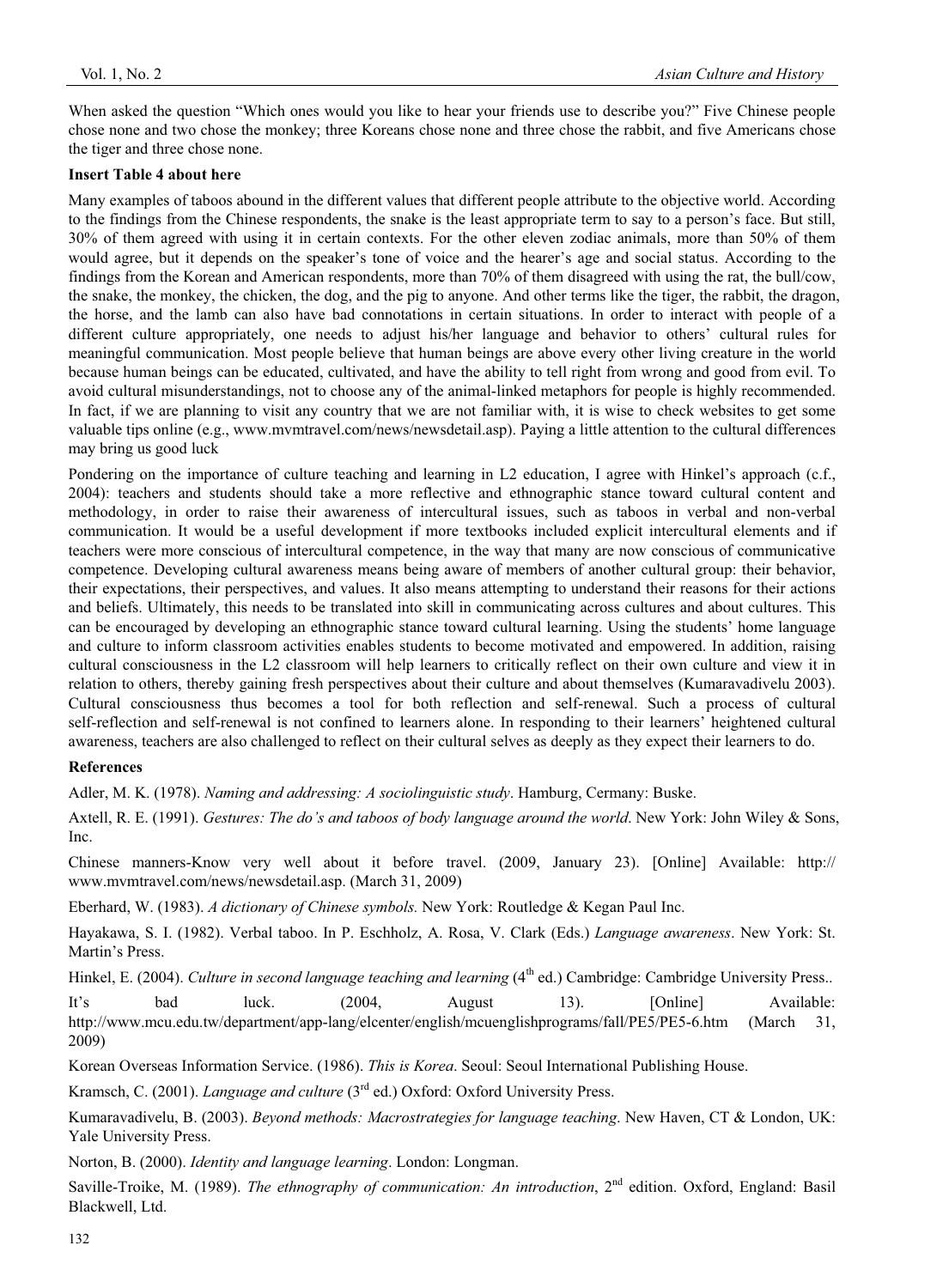When asked the question "Which ones would you like to hear your friends use to describe you?" Five Chinese people chose none and two chose the monkey; three Koreans chose none and three chose the rabbit, and five Americans chose the tiger and three chose none.

#### **Insert Table 4 about here**

Many examples of taboos abound in the different values that different people attribute to the objective world. According to the findings from the Chinese respondents, the snake is the least appropriate term to say to a person's face. But still, 30% of them agreed with using it in certain contexts. For the other eleven zodiac animals, more than 50% of them would agree, but it depends on the speaker's tone of voice and the hearer's age and social status. According to the findings from the Korean and American respondents, more than 70% of them disagreed with using the rat, the bull/cow, the snake, the monkey, the chicken, the dog, and the pig to anyone. And other terms like the tiger, the rabbit, the dragon, the horse, and the lamb can also have bad connotations in certain situations. In order to interact with people of a different culture appropriately, one needs to adjust his/her language and behavior to others' cultural rules for meaningful communication. Most people believe that human beings are above every other living creature in the world because human beings can be educated, cultivated, and have the ability to tell right from wrong and good from evil. To avoid cultural misunderstandings, not to choose any of the animal-linked metaphors for people is highly recommended. In fact, if we are planning to visit any country that we are not familiar with, it is wise to check websites to get some valuable tips online (e.g., www.mvmtravel.com/news/newsdetail.asp). Paying a little attention to the cultural differences may bring us good luck

Pondering on the importance of culture teaching and learning in L2 education, I agree with Hinkel's approach (c.f., 2004): teachers and students should take a more reflective and ethnographic stance toward cultural content and methodology, in order to raise their awareness of intercultural issues, such as taboos in verbal and non-verbal communication. It would be a useful development if more textbooks included explicit intercultural elements and if teachers were more conscious of intercultural competence, in the way that many are now conscious of communicative competence. Developing cultural awareness means being aware of members of another cultural group: their behavior, their expectations, their perspectives, and values. It also means attempting to understand their reasons for their actions and beliefs. Ultimately, this needs to be translated into skill in communicating across cultures and about cultures. This can be encouraged by developing an ethnographic stance toward cultural learning. Using the students' home language and culture to inform classroom activities enables students to become motivated and empowered. In addition, raising cultural consciousness in the L2 classroom will help learners to critically reflect on their own culture and view it in relation to others, thereby gaining fresh perspectives about their culture and about themselves (Kumaravadivelu 2003). Cultural consciousness thus becomes a tool for both reflection and self-renewal. Such a process of cultural self-reflection and self-renewal is not confined to learners alone. In responding to their learners' heightened cultural awareness, teachers are also challenged to reflect on their cultural selves as deeply as they expect their learners to do.

#### **References**

Adler, M. K. (1978). *Naming and addressing: A sociolinguistic study*. Hamburg, Cermany: Buske.

Axtell, R. E. (1991). *Gestures: The do's and taboos of body language around the world*. New York: John Wiley & Sons, Inc.

Chinese manners-Know very well about it before travel. (2009, January 23). [Online] Available: http:// www.mvmtravel.com/news/newsdetail.asp. (March 31, 2009)

Eberhard, W. (1983). *A dictionary of Chinese symbols.* New York: Routledge & Kegan Paul Inc.

Hayakawa, S. I. (1982). Verbal taboo. In P. Eschholz, A. Rosa, V. Clark (Eds.) *Language awareness*. New York: St. Martin's Press.

Hinkel, E. (2004). *Culture in second language teaching and learning* (4<sup>th</sup> ed.) Cambridge: Cambridge University Press..

It's bad luck. (2004, August 13). [Online] Available: http://www.mcu.edu.tw/department/app-lang/elcenter/english/mcuenglishprograms/fall/PE5/PE5-6.htm (March 31, 2009)

Korean Overseas Information Service. (1986). *This is Korea*. Seoul: Seoul International Publishing House.

Kramsch, C. (2001). *Language and culture* (3<sup>rd</sup> ed.) Oxford: Oxford University Press.

Kumaravadivelu, B. (2003). *Beyond methods: Macrostrategies for language teaching*. New Haven, CT & London, UK: Yale University Press.

Norton, B. (2000). *Identity and language learning*. London: Longman.

Saville-Troike, M. (1989). *The ethnography of communication: An introduction*, 2<sup>nd</sup> edition. Oxford, England: Basil Blackwell, Ltd.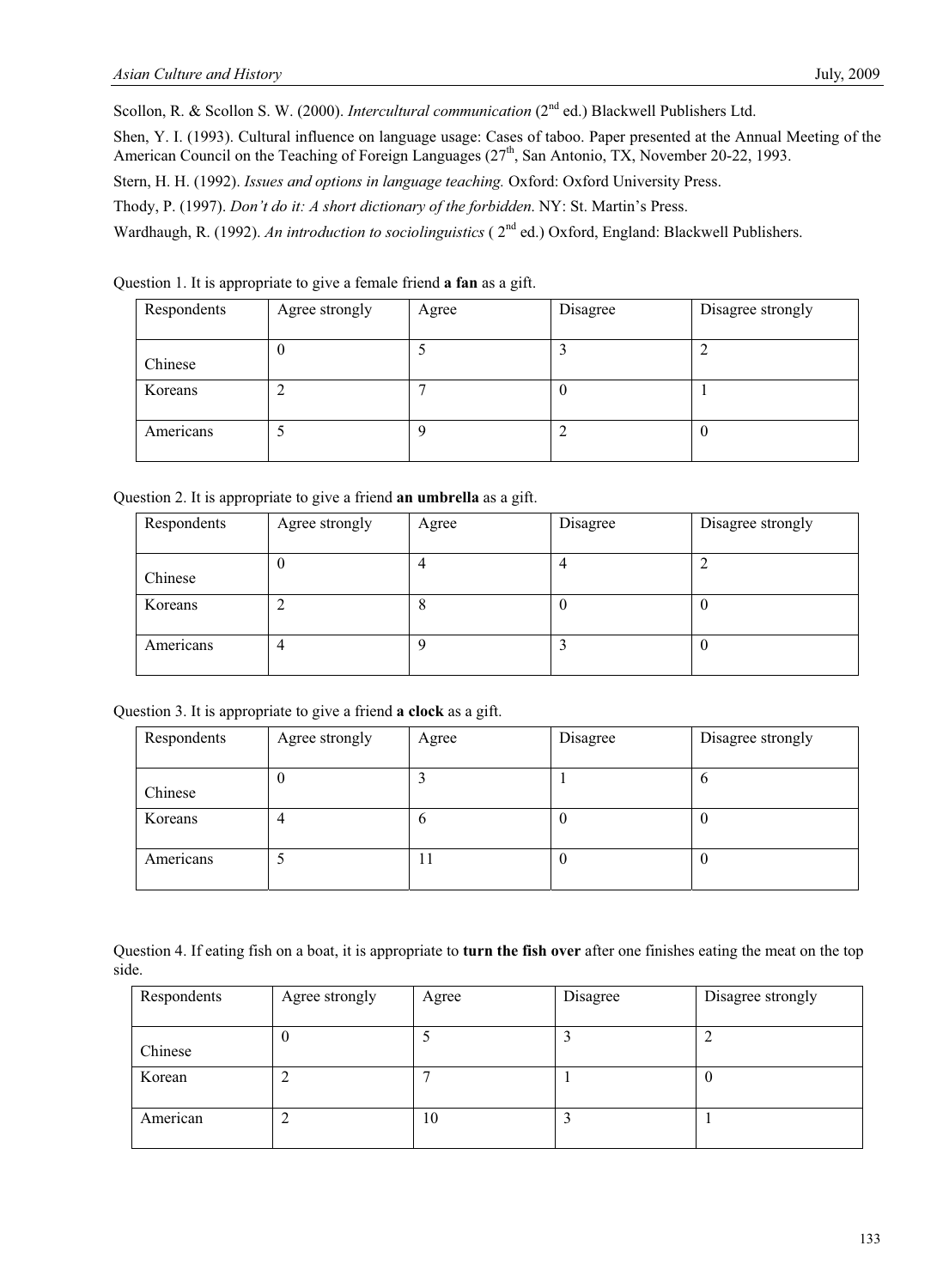Scollon, R. & Scollon S. W. (2000). *Intercultural communication* (2<sup>nd</sup> ed.) Blackwell Publishers Ltd.

Shen, Y. I. (1993). Cultural influence on language usage: Cases of taboo. Paper presented at the Annual Meeting of the American Council on the Teaching of Foreign Languages (27<sup>th</sup>, San Antonio, TX, November 20-22, 1993.

Stern, H. H. (1992). *Issues and options in language teaching.* Oxford: Oxford University Press.

Thody, P. (1997). *Don't do it: A short dictionary of the forbidden*. NY: St. Martin's Press.

Wardhaugh, R. (1992). *An introduction to sociolinguistics* (2<sup>nd</sup> ed.) Oxford, England: Blackwell Publishers.

Question 1. It is appropriate to give a female friend **a fan** as a gift.

| Respondents | Agree strongly | Agree | Disagree         | Disagree strongly |
|-------------|----------------|-------|------------------|-------------------|
|             |                |       |                  |                   |
|             | v              |       | $\sqrt{2}$<br>J. |                   |
| Chinese     |                |       |                  |                   |
| Koreans     | ∠              |       | O                |                   |
|             |                |       |                  |                   |
| Americans   |                |       | 2                | v                 |
|             |                |       |                  |                   |

Question 2. It is appropriate to give a friend **an umbrella** as a gift.

| Respondents | Agree strongly | Agree | Disagree | Disagree strongly |
|-------------|----------------|-------|----------|-------------------|
| Chinese     | U              |       | 4        |                   |
| Koreans     |                | O     | -0       |                   |
| Americans   |                |       | J        |                   |

Question 3. It is appropriate to give a friend **a clock** as a gift.

| Respondents | Agree strongly | Agree | Disagree | Disagree strongly |
|-------------|----------------|-------|----------|-------------------|
| Chinese     | v              |       |          | ν                 |
| Koreans     | 4              | O     | $\bf{0}$ |                   |
| Americans   | ◡              | 11    | $\bf{0}$ |                   |

Question 4. If eating fish on a boat, it is appropriate to **turn the fish over** after one finishes eating the meat on the top side.

| Respondents | Agree strongly | Agree | Disagree | Disagree strongly |
|-------------|----------------|-------|----------|-------------------|
| Chinese     | ν              |       |          |                   |
| Korean      | ∼              |       |          | v                 |
| American    | ∠              | 10    | ینه      |                   |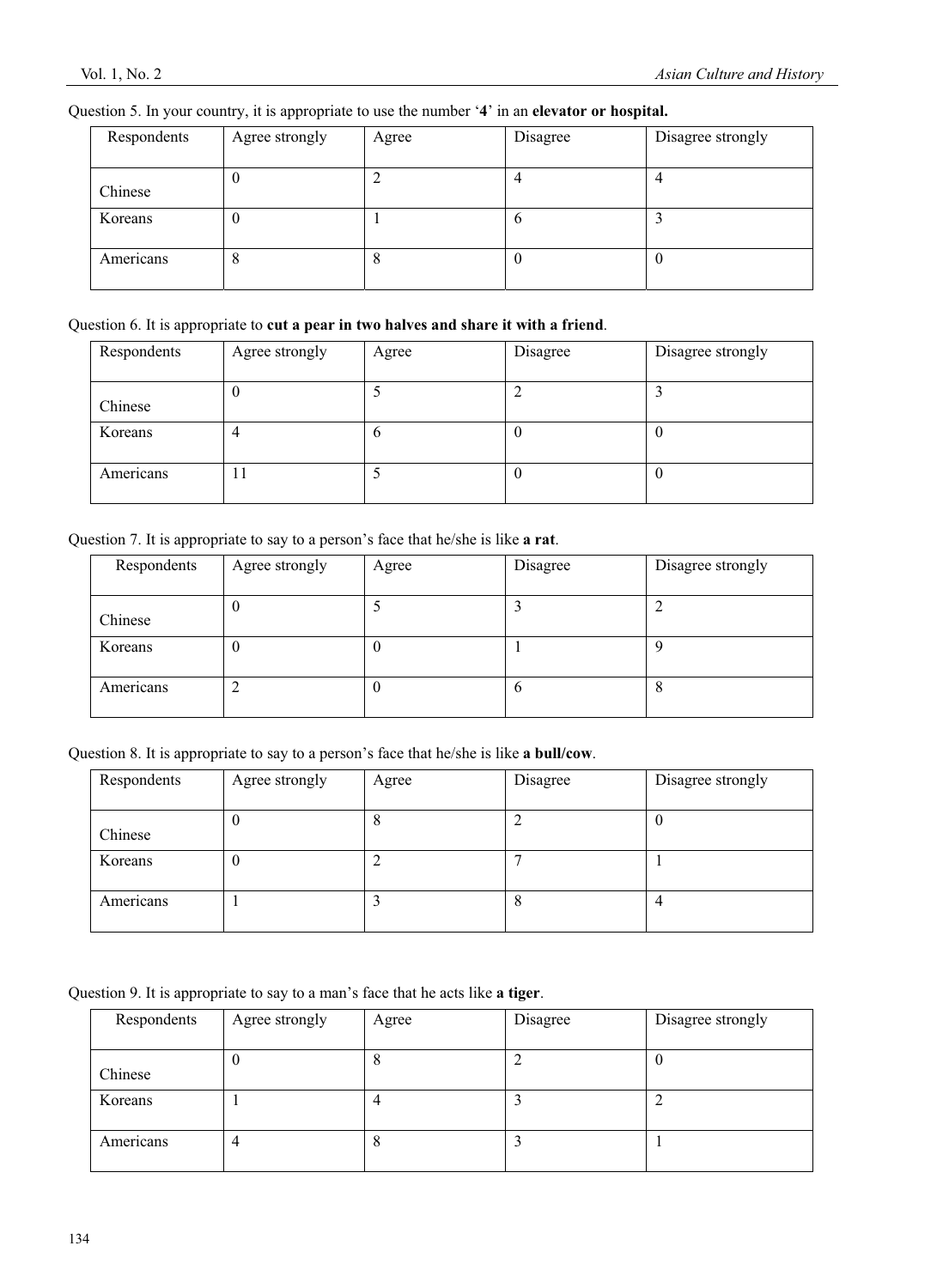# Question 5. In your country, it is appropriate to use the number '**4**' in an **elevator or hospital.**

| Respondents | Agree strongly | Agree | Disagree | Disagree strongly |
|-------------|----------------|-------|----------|-------------------|
| Chinese     |                | ∠     |          |                   |
| Koreans     | U              |       | O        |                   |
| Americans   | ◠              | 8     | υ        | $\theta$          |

## Question 6. It is appropriate to **cut a pear in two halves and share it with a friend**.

| Respondents | Agree strongly | Agree | Disagree | Disagree strongly |
|-------------|----------------|-------|----------|-------------------|
| Chinese     | v              |       |          |                   |
| Koreans     |                | O     | U        | 0                 |
| Americans   |                |       | 0        | $\bf{0}$          |

# Question 7. It is appropriate to say to a person's face that he/she is like **a rat**.

| Respondents | Agree strongly | Agree | Disagree | Disagree strongly |
|-------------|----------------|-------|----------|-------------------|
|             |                |       |          |                   |
|             | U              |       |          |                   |
| Chinese     |                |       |          |                   |
| Koreans     | U              | v     |          | C                 |
|             |                |       |          |                   |
| Americans   |                | v     | O        | 8                 |
|             |                |       |          |                   |

# Question 8. It is appropriate to say to a person's face that he/she is like **a bull/cow**.

| Respondents | Agree strongly | Agree | Disagree | Disagree strongly |
|-------------|----------------|-------|----------|-------------------|
|             |                |       |          |                   |
|             | v              | O     |          | U                 |
| Chinese     |                |       |          |                   |
| Koreans     | v              |       |          |                   |
|             |                |       |          |                   |
| Americans   |                |       | 8        | 4                 |
|             |                |       |          |                   |

Question 9. It is appropriate to say to a man's face that he acts like **a tiger**.

| Respondents | Agree strongly | Agree | Disagree | Disagree strongly |
|-------------|----------------|-------|----------|-------------------|
|             |                |       |          |                   |
|             |                | 8     |          | U                 |
| Chinese     |                |       |          |                   |
| Koreans     |                |       |          | ∼                 |
|             |                |       |          |                   |
| Americans   |                | 8     |          |                   |
|             |                |       |          |                   |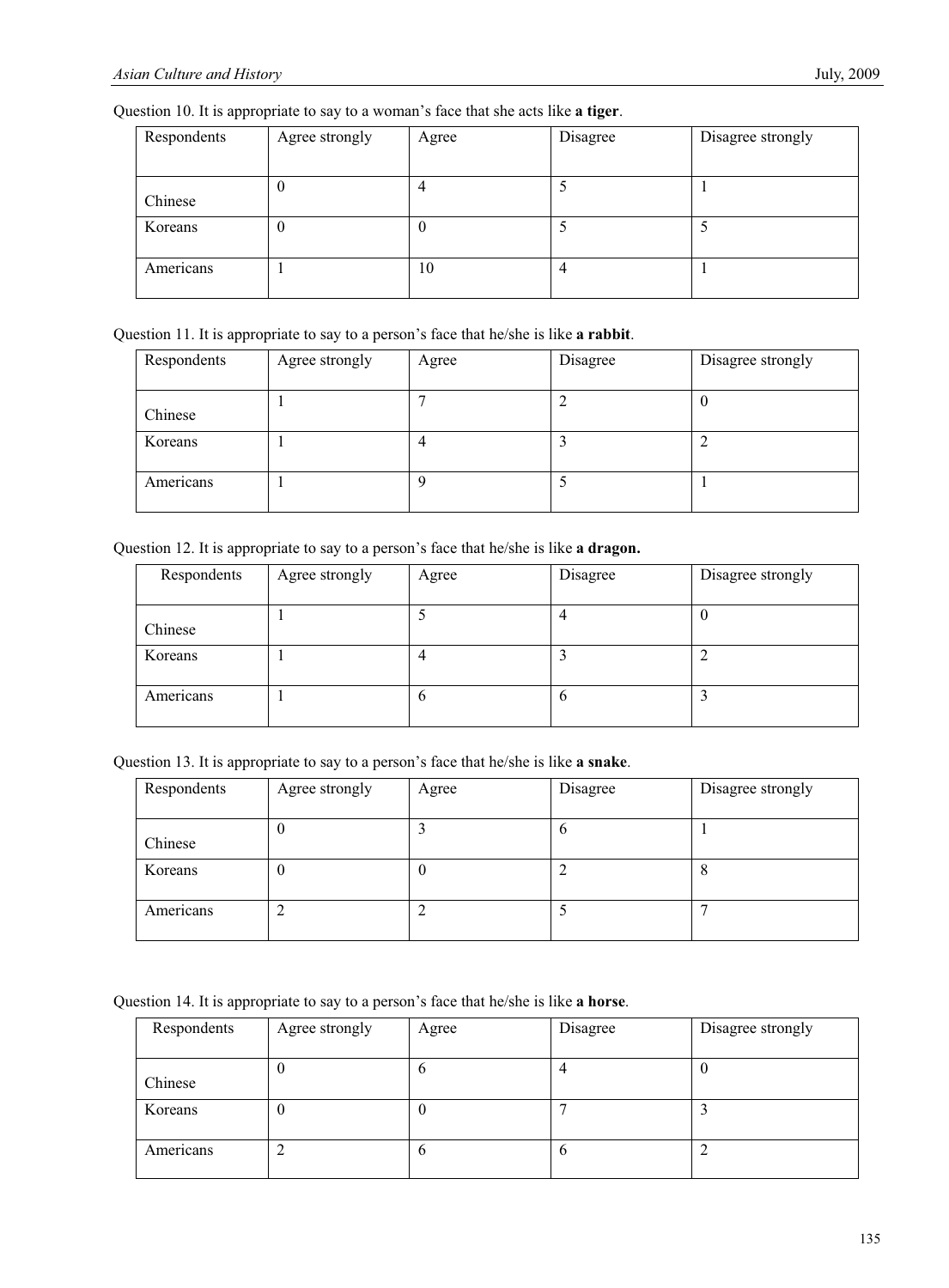#### Question 10. It is appropriate to say to a woman's face that she acts like **a tiger**.

| Respondents | Agree strongly | Agree | Disagree       | Disagree strongly |
|-------------|----------------|-------|----------------|-------------------|
|             |                |       |                |                   |
| Chinese     | U              |       |                |                   |
| Koreans     | U              |       |                |                   |
| Americans   |                | 10    | $\overline{4}$ |                   |

Question 11. It is appropriate to say to a person's face that he/she is like **a rabbit**.

| Respondents | Agree strongly | Agree | Disagree | Disagree strongly |
|-------------|----------------|-------|----------|-------------------|
| Chinese     |                |       | ∠        | v                 |
| Koreans     |                |       |          |                   |
| Americans   |                |       |          |                   |

## Question 12. It is appropriate to say to a person's face that he/she is like **a dragon.**

| Respondents | Agree strongly | Agree | Disagree | Disagree strongly |
|-------------|----------------|-------|----------|-------------------|
|             |                |       |          |                   |
| Chinese     |                |       |          |                   |
| Koreans     |                |       |          |                   |
| Americans   |                | O     | O        |                   |

Question 13. It is appropriate to say to a person's face that he/she is like **a snake**.

| Respondents | Agree strongly | Agree | Disagree | Disagree strongly |
|-------------|----------------|-------|----------|-------------------|
| Chinese     | 0              |       | b        |                   |
| Koreans     | O              |       | 2        | $\Omega$          |
| Americans   | $\angle$       |       |          |                   |

Question 14. It is appropriate to say to a person's face that he/she is like **a horse**.

| Respondents | Agree strongly | Agree | Disagree | Disagree strongly |
|-------------|----------------|-------|----------|-------------------|
| Chinese     |                | υ     | 4        |                   |
| Koreans     |                |       | −        |                   |
| Americans   |                | υ     | b        |                   |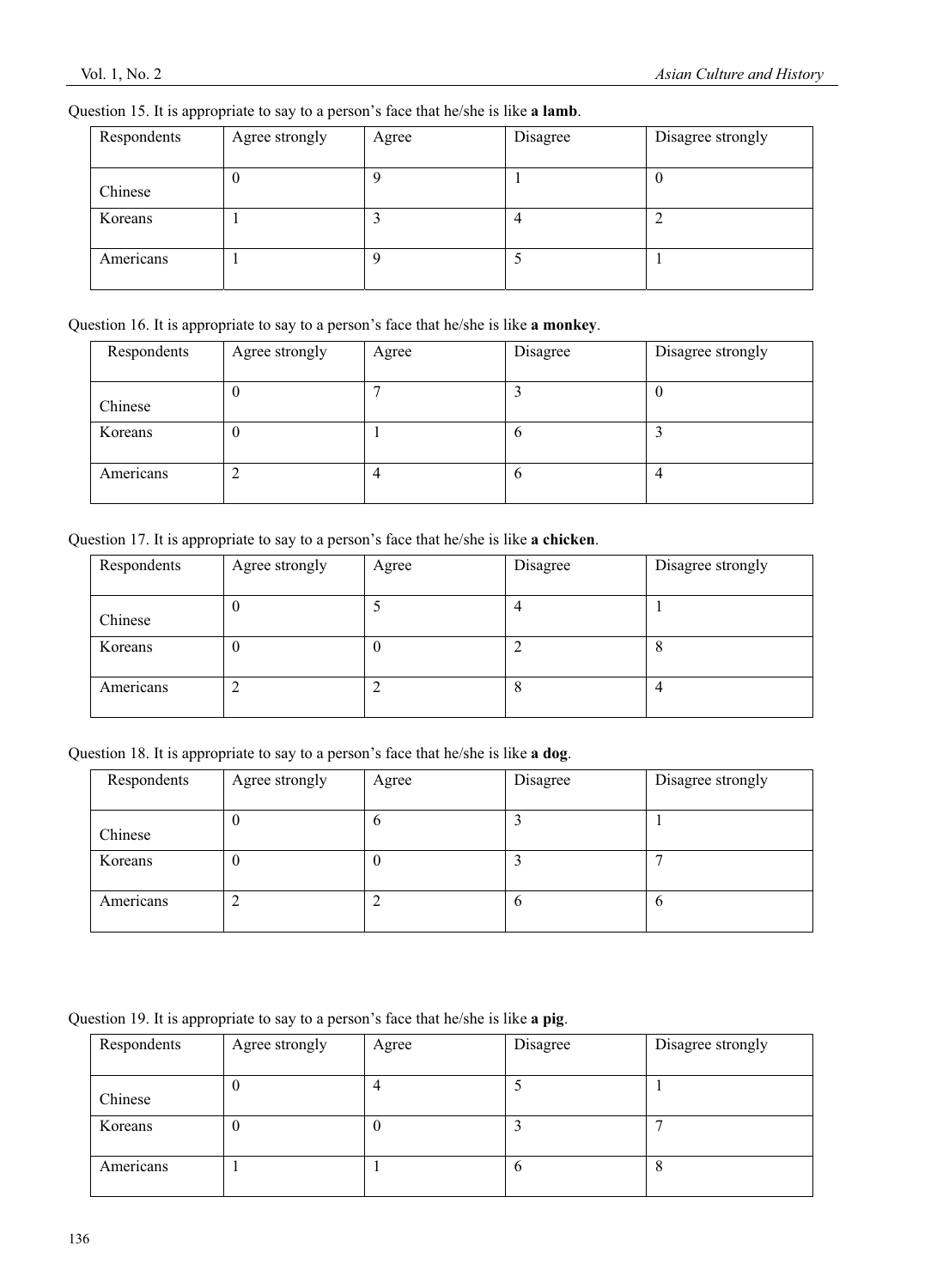# Question 15. It is appropriate to say to a person's face that he/she is like **a lamb**.

| Respondents | Agree strongly | Agree | Disagree | Disagree strongly |
|-------------|----------------|-------|----------|-------------------|
| Chinese     |                |       |          | $\theta$          |
| Koreans     |                |       |          |                   |
| Americans   |                |       |          |                   |

Question 16. It is appropriate to say to a person's face that he/she is like **a monkey**.

| Respondents | Agree strongly | Agree | Disagree | Disagree strongly |
|-------------|----------------|-------|----------|-------------------|
|             |                |       |          |                   |
|             | 0              |       |          |                   |
| Chinese     |                |       |          |                   |
| Koreans     | 0              |       | O        |                   |
|             |                |       |          |                   |
| Americans   | ∠              |       | O        |                   |
|             |                |       |          |                   |

# Question 17. It is appropriate to say to a person's face that he/she is like **a chicken**.

| Respondents | Agree strongly | Agree | Disagree | Disagree strongly |
|-------------|----------------|-------|----------|-------------------|
|             |                |       |          |                   |
| Chinese     | v              |       |          |                   |
| Koreans     | U              | v     |          | O                 |
|             |                |       |          |                   |
| Americans   |                |       | 8        |                   |
|             |                |       |          |                   |

# Question 18. It is appropriate to say to a person's face that he/she is like **a dog**.

| Respondents | Agree strongly | Agree    | Disagree    | Disagree strongly |
|-------------|----------------|----------|-------------|-------------------|
|             |                |          |             |                   |
|             |                | $\sigma$ |             |                   |
| Chinese     |                |          |             |                   |
| Koreans     |                | $\bf{0}$ |             |                   |
|             |                |          |             |                   |
| Americans   |                | ∼        | $\mathbf b$ | O                 |
|             |                |          |             |                   |

Question 19. It is appropriate to say to a person's face that he/she is like **a pig**.

| Respondents | Agree strongly | Agree | Disagree | Disagree strongly |
|-------------|----------------|-------|----------|-------------------|
| Chinese     | U              | 4     |          |                   |
| Koreans     | U              | U     | ◠        |                   |
| Americans   |                |       | O        | $\circ$           |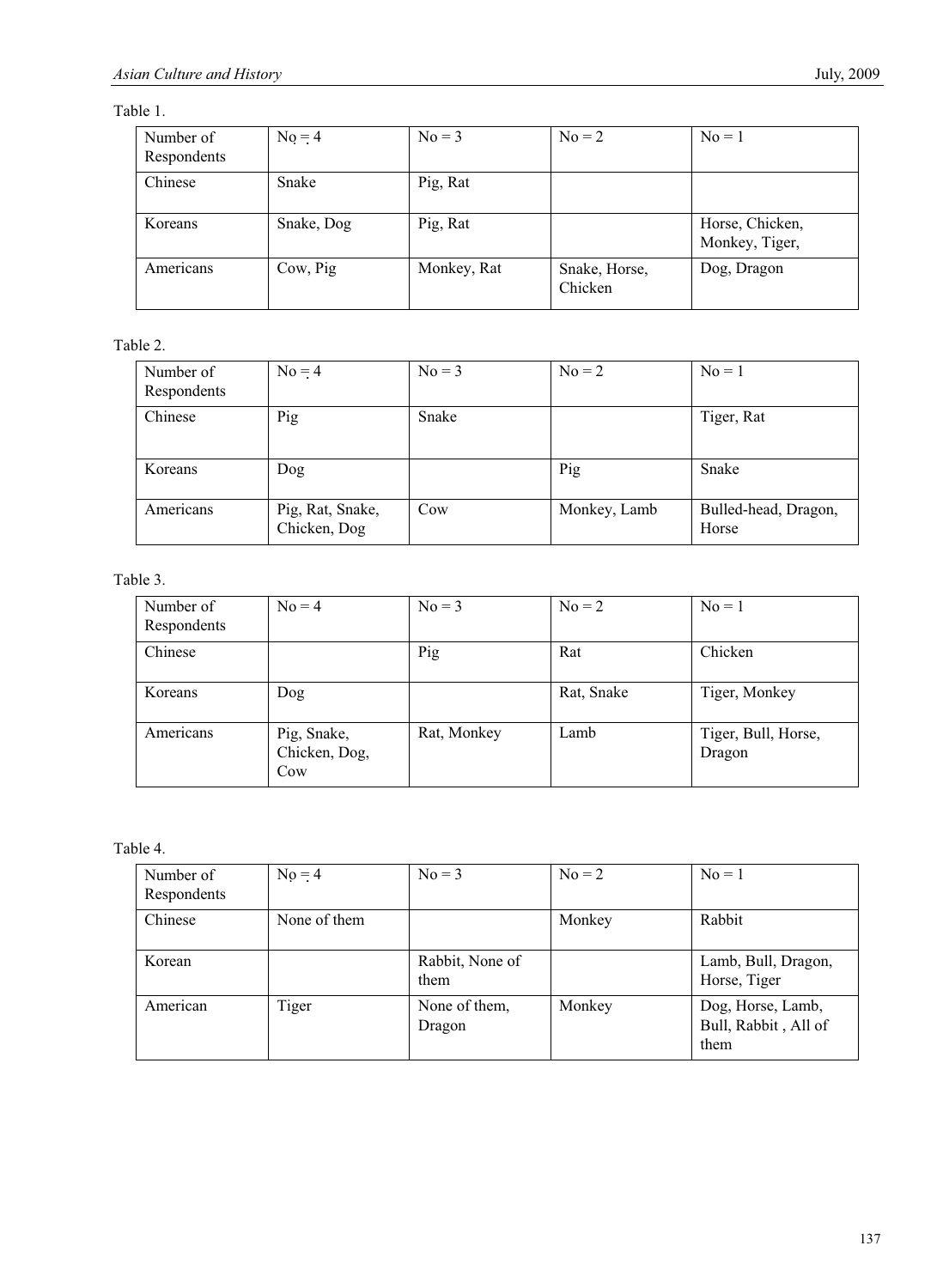# Table 1.

| Number of<br>Respondents | $No = 4$   | $No = 3$    | $No = 2$                 | $No = 1$                          |
|--------------------------|------------|-------------|--------------------------|-----------------------------------|
| Chinese                  | Snake      | Pig, Rat    |                          |                                   |
| Koreans                  | Snake, Dog | Pig, Rat    |                          | Horse, Chicken,<br>Monkey, Tiger, |
| Americans                | Cow, Pig   | Monkey, Rat | Snake, Horse,<br>Chicken | Dog, Dragon                       |

# Table 2.

| Number of<br>Respondents | $No = 4$                         | $No = 3$ | $No = 2$     | $No = 1$                      |
|--------------------------|----------------------------------|----------|--------------|-------------------------------|
| Chinese                  | Pig                              | Snake    |              | Tiger, Rat                    |
| Koreans                  | Dog                              |          | Pig          | Snake                         |
| Americans                | Pig, Rat, Snake,<br>Chicken, Dog | Cow      | Monkey, Lamb | Bulled-head, Dragon,<br>Horse |

# Table 3.

| Number of<br>Respondents | $No = 4$                               | $No = 3$    | $No = 2$   | $No = 1$                      |
|--------------------------|----------------------------------------|-------------|------------|-------------------------------|
| Chinese                  |                                        | Pig         | Rat        | Chicken                       |
| Koreans                  | Dog                                    |             | Rat, Snake | Tiger, Monkey                 |
| Americans                | Pig, Snake,<br>Chicken, Dog,<br>$\cos$ | Rat, Monkey | Lamb       | Tiger, Bull, Horse,<br>Dragon |

# Table 4.

| Number of<br>Respondents | $N\rho = 4$  | $No = 3$                | $No = 2$ | $No = 1$                                          |
|--------------------------|--------------|-------------------------|----------|---------------------------------------------------|
| Chinese                  | None of them |                         | Monkey   | Rabbit                                            |
| Korean                   |              | Rabbit, None of<br>them |          | Lamb, Bull, Dragon,<br>Horse, Tiger               |
| American                 | Tiger        | None of them,<br>Dragon | Monkey   | Dog, Horse, Lamb,<br>Bull, Rabbit, All of<br>them |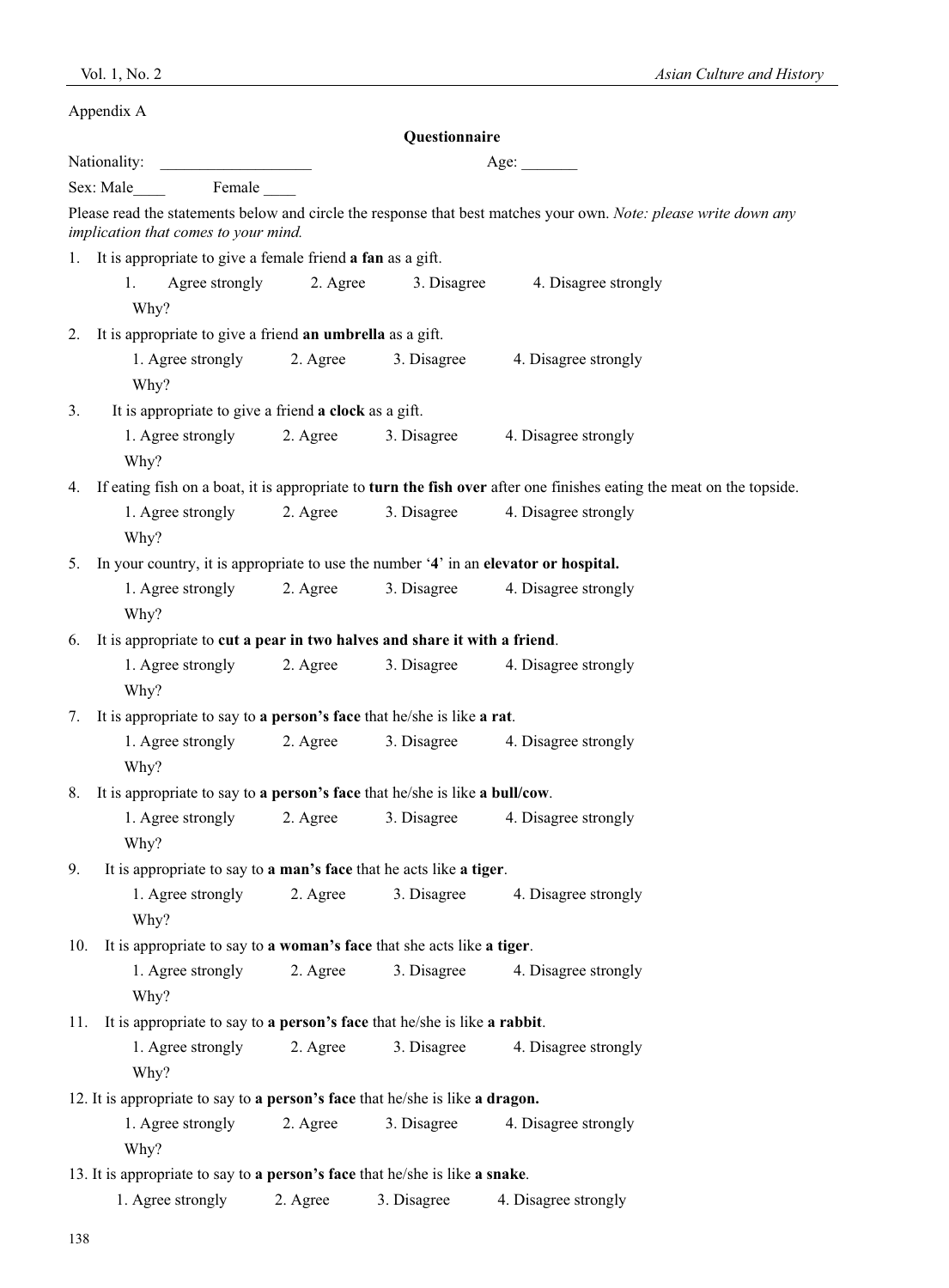|     | Appendix A                                                                              |          |               |                                                                                                                         |
|-----|-----------------------------------------------------------------------------------------|----------|---------------|-------------------------------------------------------------------------------------------------------------------------|
|     |                                                                                         |          | Questionnaire |                                                                                                                         |
|     | Nationality:                                                                            |          |               | Age: $\_\_$                                                                                                             |
|     | Sex: Male Female                                                                        |          |               |                                                                                                                         |
|     | implication that comes to your mind.                                                    |          |               | Please read the statements below and circle the response that best matches your own. Note: please write down any        |
|     | 1. It is appropriate to give a female friend <b>a fan</b> as a gift.                    |          |               |                                                                                                                         |
|     | 1.<br>Agree strongly<br>Why?                                                            | 2. Agree | 3. Disagree   | 4. Disagree strongly                                                                                                    |
|     | 2. It is appropriate to give a friend an umbrella as a gift.                            |          |               |                                                                                                                         |
|     | 1. Agree strongly 2. Agree<br>Why?                                                      |          | 3. Disagree   | 4. Disagree strongly                                                                                                    |
| 3.  | It is appropriate to give a friend a clock as a gift.                                   |          |               |                                                                                                                         |
|     | Why?                                                                                    |          |               | 1. Agree strongly 2. Agree 3. Disagree 4. Disagree strongly                                                             |
|     |                                                                                         |          |               | 4. If eating fish on a boat, it is appropriate to turn the fish over after one finishes eating the meat on the topside. |
|     | 1. Agree strongly 2. Agree 3. Disagree<br>Why?                                          |          |               | 4. Disagree strongly                                                                                                    |
|     | 5. In your country, it is appropriate to use the number '4' in an elevator or hospital. |          |               |                                                                                                                         |
|     | 1. Agree strongly 2. Agree 3. Disagree<br>Why?                                          |          |               | 4. Disagree strongly                                                                                                    |
| 6.  | It is appropriate to cut a pear in two halves and share it with a friend.               |          |               |                                                                                                                         |
|     | 1. Agree strongly 2. Agree 3. Disagree<br>Why?                                          |          |               | 4. Disagree strongly                                                                                                    |
| 7.  | It is appropriate to say to a person's face that he/she is like a rat.                  |          |               |                                                                                                                         |
|     | Why?                                                                                    |          |               | 1. Agree strongly 2. Agree 3. Disagree 4. Disagree strongly                                                             |
|     | 8. It is appropriate to say to a person's face that he/she is like a bull/cow.          |          |               |                                                                                                                         |
|     | Why?                                                                                    |          |               | 1. Agree strongly 2. Agree 3. Disagree 4. Disagree strongly                                                             |
| 9.  | It is appropriate to say to a man's face that he acts like a tiger.                     |          |               |                                                                                                                         |
|     | 1. Agree strongly<br>Why?                                                               | 2. Agree | 3. Disagree   | 4. Disagree strongly                                                                                                    |
| 10. | It is appropriate to say to a woman's face that she acts like a tiger.                  |          |               |                                                                                                                         |
|     | 1. Agree strongly<br>Why?                                                               | 2. Agree | 3. Disagree   | 4. Disagree strongly                                                                                                    |
| 11. | It is appropriate to say to a person's face that he/she is like a rabbit.               |          |               |                                                                                                                         |
|     | 1. Agree strongly<br>Why?                                                               | 2. Agree | 3. Disagree   | 4. Disagree strongly                                                                                                    |
|     | 12. It is appropriate to say to a person's face that he/she is like a dragon.           |          |               |                                                                                                                         |
|     | 1. Agree strongly<br>Why?                                                               | 2. Agree | 3. Disagree   | 4. Disagree strongly                                                                                                    |
|     | 13. It is appropriate to say to a person's face that he/she is like a snake.            |          |               |                                                                                                                         |
|     | 1. Agree strongly                                                                       | 2. Agree | 3. Disagree   | 4. Disagree strongly                                                                                                    |